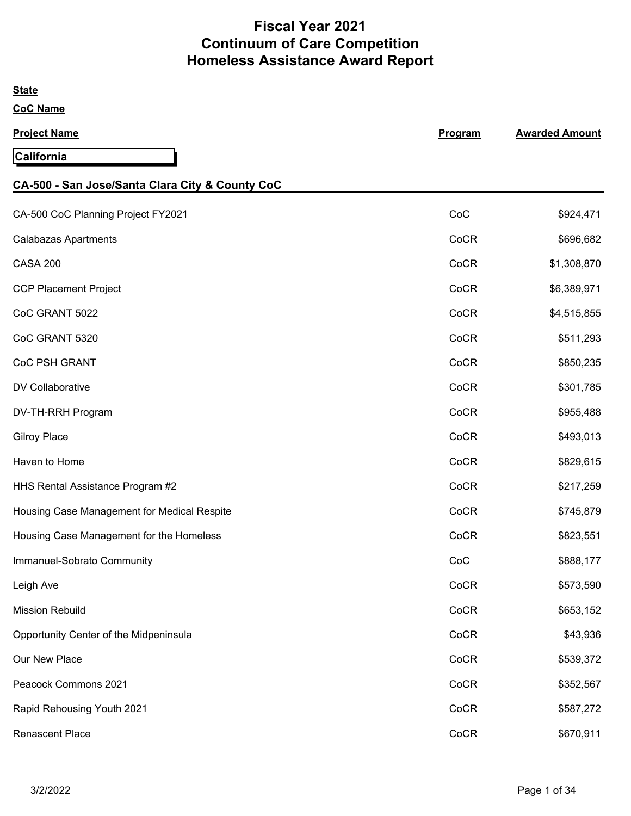# **Fiscal Year 2021 Continuum of Care Competition Homeless Assistance Award Report**

| <b>State</b>                                    |         |                       |
|-------------------------------------------------|---------|-----------------------|
| <b>CoC Name</b>                                 |         |                       |
| <b>Project Name</b>                             | Program | <b>Awarded Amount</b> |
| California                                      |         |                       |
| CA-500 - San Jose/Santa Clara City & County CoC |         |                       |
| CA-500 CoC Planning Project FY2021              | CoC     | \$924,471             |
| <b>Calabazas Apartments</b>                     | CoCR    | \$696,682             |
| <b>CASA 200</b>                                 | CoCR    | \$1,308,870           |
| <b>CCP Placement Project</b>                    | CoCR    | \$6,389,971           |
| CoC GRANT 5022                                  | CoCR    | \$4,515,855           |
| CoC GRANT 5320                                  | CoCR    | \$511,293             |
| CoC PSH GRANT                                   | CoCR    | \$850,235             |
| <b>DV Collaborative</b>                         | CoCR    | \$301,785             |
| DV-TH-RRH Program                               | CoCR    | \$955,488             |
| <b>Gilroy Place</b>                             | CoCR    | \$493,013             |
| Haven to Home                                   | CoCR    | \$829,615             |
| HHS Rental Assistance Program #2                | CoCR    | \$217,259             |
| Housing Case Management for Medical Respite     | CoCR    | \$745,879             |
| Housing Case Management for the Homeless        | CoCR    | \$823,551             |
| Immanuel-Sobrato Community                      | CoC     | \$888,177             |
| Leigh Ave                                       | CoCR    | \$573,590             |
| <b>Mission Rebuild</b>                          | CoCR    | \$653,152             |
| Opportunity Center of the Midpeninsula          | CoCR    | \$43,936              |
| Our New Place                                   | CoCR    | \$539,372             |
| Peacock Commons 2021                            | CoCR    | \$352,567             |
| Rapid Rehousing Youth 2021                      | CoCR    | \$587,272             |
| <b>Renascent Place</b>                          | CoCR    | \$670,911             |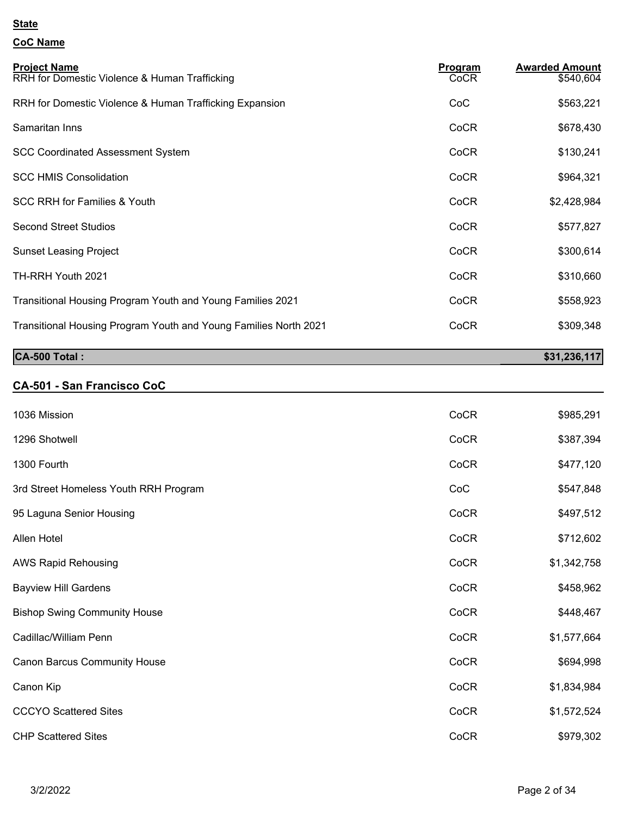### **CoC Name**

| <b>Project Name</b><br>RRH for Domestic Violence & Human Trafficking | <b>Program</b><br>CoCR | <b>Awarded Amount</b><br>\$540,604 |
|----------------------------------------------------------------------|------------------------|------------------------------------|
| RRH for Domestic Violence & Human Trafficking Expansion              | CoC                    | \$563,221                          |
| Samaritan Inns                                                       | CoCR                   | \$678,430                          |
| <b>SCC Coordinated Assessment System</b>                             | CoCR                   | \$130,241                          |
| <b>SCC HMIS Consolidation</b>                                        | CoCR                   | \$964,321                          |
| <b>SCC RRH for Families &amp; Youth</b>                              | CoCR                   | \$2,428,984                        |
| <b>Second Street Studios</b>                                         | CoCR                   | \$577,827                          |
| <b>Sunset Leasing Project</b>                                        | CoCR                   | \$300,614                          |
| TH-RRH Youth 2021                                                    | CoCR                   | \$310,660                          |
| Transitional Housing Program Youth and Young Families 2021           | CoCR                   | \$558,923                          |
| Transitional Housing Program Youth and Young Families North 2021     | CoCR                   | \$309,348                          |
| CA-500 Total:                                                        |                        | \$31,236,117                       |

### **CA-501 - San Francisco CoC**

| 1036 Mission                          | CoCR | \$985,291   |
|---------------------------------------|------|-------------|
| 1296 Shotwell                         | CoCR | \$387,394   |
| 1300 Fourth                           | CoCR | \$477,120   |
| 3rd Street Homeless Youth RRH Program | CoC  | \$547,848   |
| 95 Laguna Senior Housing              | CoCR | \$497,512   |
| Allen Hotel                           | CoCR | \$712,602   |
| <b>AWS Rapid Rehousing</b>            | CoCR | \$1,342,758 |
| <b>Bayview Hill Gardens</b>           | CoCR | \$458,962   |
| <b>Bishop Swing Community House</b>   | CoCR | \$448,467   |
| Cadillac/William Penn                 | CoCR | \$1,577,664 |
| <b>Canon Barcus Community House</b>   | CoCR | \$694,998   |
| Canon Kip                             | CoCR | \$1,834,984 |
| <b>CCCYO Scattered Sites</b>          | CoCR | \$1,572,524 |
| <b>CHP Scattered Sites</b>            | CoCR | \$979,302   |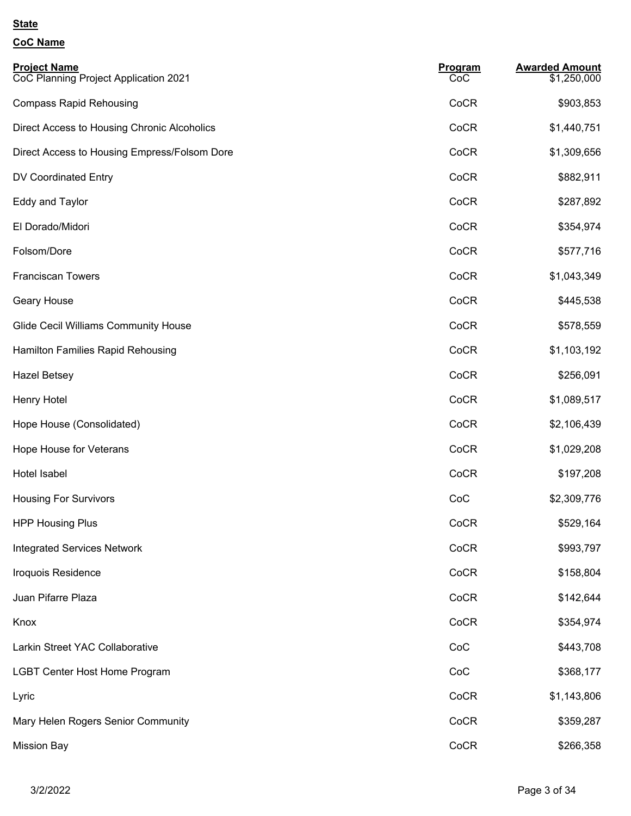| <b>Project Name</b><br>CoC Planning Project Application 2021 | Program<br>CoC | <b>Awarded Amount</b><br>\$1,250,000 |
|--------------------------------------------------------------|----------------|--------------------------------------|
| <b>Compass Rapid Rehousing</b>                               | CoCR           | \$903,853                            |
| Direct Access to Housing Chronic Alcoholics                  | CoCR           | \$1,440,751                          |
| Direct Access to Housing Empress/Folsom Dore                 | CoCR           | \$1,309,656                          |
| DV Coordinated Entry                                         | CoCR           | \$882,911                            |
| Eddy and Taylor                                              | CoCR           | \$287,892                            |
| El Dorado/Midori                                             | CoCR           | \$354,974                            |
| Folsom/Dore                                                  | CoCR           | \$577,716                            |
| <b>Franciscan Towers</b>                                     | CoCR           | \$1,043,349                          |
| Geary House                                                  | CoCR           | \$445,538                            |
| <b>Glide Cecil Williams Community House</b>                  | CoCR           | \$578,559                            |
| Hamilton Families Rapid Rehousing                            | CoCR           | \$1,103,192                          |
| <b>Hazel Betsey</b>                                          | CoCR           | \$256,091                            |
| Henry Hotel                                                  | CoCR           | \$1,089,517                          |
| Hope House (Consolidated)                                    | CoCR           | \$2,106,439                          |
| Hope House for Veterans                                      | CoCR           | \$1,029,208                          |
| Hotel Isabel                                                 | CoCR           | \$197,208                            |
| <b>Housing For Survivors</b>                                 | CoC            | \$2,309,776                          |
| <b>HPP Housing Plus</b>                                      | CoCR           | \$529,164                            |
| <b>Integrated Services Network</b>                           | CoCR           | \$993,797                            |
| Iroquois Residence                                           | CoCR           | \$158,804                            |
| Juan Pifarre Plaza                                           | CoCR           | \$142,644                            |
| Knox                                                         | CoCR           | \$354,974                            |
| Larkin Street YAC Collaborative                              | CoC            | \$443,708                            |
| <b>LGBT Center Host Home Program</b>                         | CoC            | \$368,177                            |
| Lyric                                                        | CoCR           | \$1,143,806                          |
| Mary Helen Rogers Senior Community                           | CoCR           | \$359,287                            |
| <b>Mission Bay</b>                                           | CoCR           | \$266,358                            |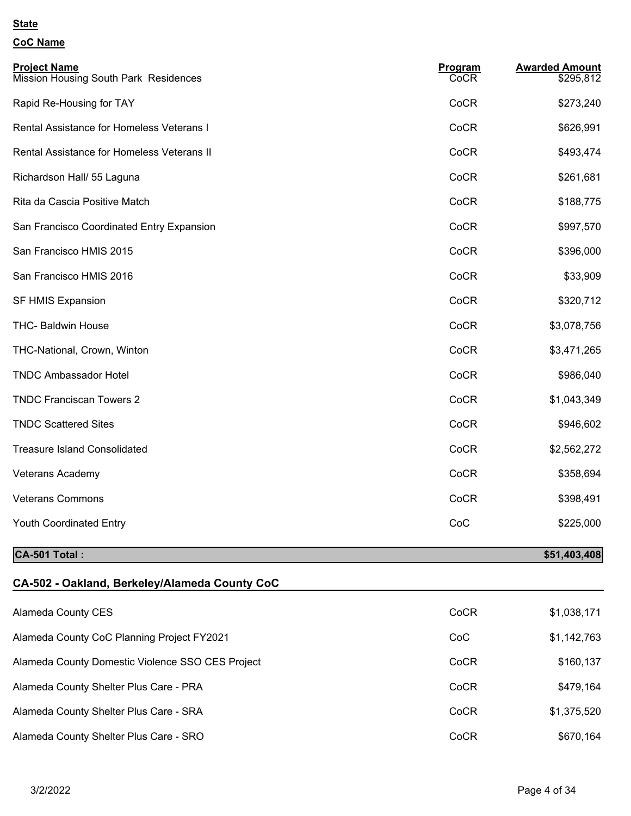# **CoC Name**

| <b>Project Name</b><br><b>Mission Housing South Park Residences</b> | Program<br>CoCR | <b>Awarded Amount</b><br>\$295,812 |
|---------------------------------------------------------------------|-----------------|------------------------------------|
| Rapid Re-Housing for TAY                                            | CoCR            | \$273,240                          |
| Rental Assistance for Homeless Veterans I                           | CoCR            | \$626,991                          |
| Rental Assistance for Homeless Veterans II                          | CoCR            | \$493,474                          |
| Richardson Hall/ 55 Laguna                                          | CoCR            | \$261,681                          |
| Rita da Cascia Positive Match                                       | CoCR            | \$188,775                          |
| San Francisco Coordinated Entry Expansion                           | CoCR            | \$997,570                          |
| San Francisco HMIS 2015                                             | CoCR            | \$396,000                          |
| San Francisco HMIS 2016                                             | CoCR            | \$33,909                           |
| SF HMIS Expansion                                                   | CoCR            | \$320,712                          |
| <b>THC- Baldwin House</b>                                           | CoCR            | \$3,078,756                        |
| THC-National, Crown, Winton                                         | CoCR            | \$3,471,265                        |
| <b>TNDC Ambassador Hotel</b>                                        | CoCR            | \$986,040                          |
| <b>TNDC Franciscan Towers 2</b>                                     | CoCR            | \$1,043,349                        |
| <b>TNDC Scattered Sites</b>                                         | CoCR            | \$946,602                          |
| <b>Treasure Island Consolidated</b>                                 | CoCR            | \$2,562,272                        |
| Veterans Academy                                                    | CoCR            | \$358,694                          |
| <b>Veterans Commons</b>                                             | CoCR            | \$398,491                          |
| <b>Youth Coordinated Entry</b>                                      | CoC             | \$225,000                          |

### **CA-501 Total :** \$51,403,408

| CA-502 - Oakland, Berkeley/Alameda County CoC    |      |             |
|--------------------------------------------------|------|-------------|
| Alameda County CES                               | CoCR | \$1,038,171 |
| Alameda County CoC Planning Project FY2021       | CoC  | \$1,142,763 |
| Alameda County Domestic Violence SSO CES Project | CoCR | \$160,137   |
| Alameda County Shelter Plus Care - PRA           | CoCR | \$479,164   |
| Alameda County Shelter Plus Care - SRA           | CoCR | \$1,375,520 |
| Alameda County Shelter Plus Care - SRO           | CoCR | \$670,164   |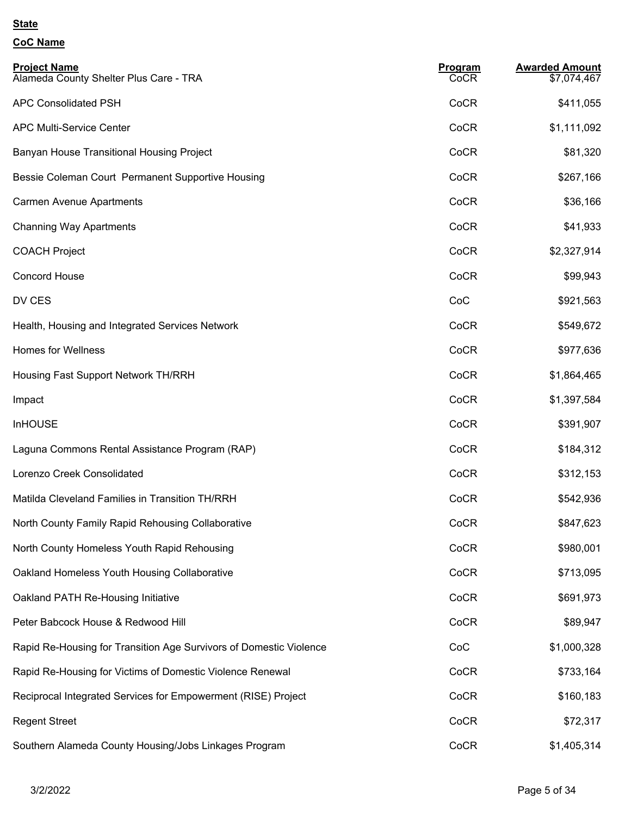| <b>Project Name</b><br>Alameda County Shelter Plus Care - TRA      | Program<br>CoCR | <b>Awarded Amount</b><br>\$7,074,467 |
|--------------------------------------------------------------------|-----------------|--------------------------------------|
| <b>APC Consolidated PSH</b>                                        | CoCR            | \$411,055                            |
| <b>APC Multi-Service Center</b>                                    | CoCR            | \$1,111,092                          |
| Banyan House Transitional Housing Project                          | CoCR            | \$81,320                             |
| Bessie Coleman Court Permanent Supportive Housing                  | CoCR            | \$267,166                            |
| <b>Carmen Avenue Apartments</b>                                    | CoCR            | \$36,166                             |
| <b>Channing Way Apartments</b>                                     | CoCR            | \$41,933                             |
| <b>COACH Project</b>                                               | CoCR            | \$2,327,914                          |
| <b>Concord House</b>                                               | CoCR            | \$99,943                             |
| DV CES                                                             | CoC             | \$921,563                            |
| Health, Housing and Integrated Services Network                    | CoCR            | \$549,672                            |
| <b>Homes for Wellness</b>                                          | CoCR            | \$977,636                            |
| Housing Fast Support Network TH/RRH                                | CoCR            | \$1,864,465                          |
| Impact                                                             | CoCR            | \$1,397,584                          |
| <b>InHOUSE</b>                                                     | CoCR            | \$391,907                            |
| Laguna Commons Rental Assistance Program (RAP)                     | CoCR            | \$184,312                            |
| Lorenzo Creek Consolidated                                         | CoCR            | \$312,153                            |
| Matilda Cleveland Families in Transition TH/RRH                    | CoCR            | \$542,936                            |
| North County Family Rapid Rehousing Collaborative                  | CoCR            | \$847,623                            |
| North County Homeless Youth Rapid Rehousing                        | CoCR            | \$980,001                            |
| Oakland Homeless Youth Housing Collaborative                       | CoCR            | \$713,095                            |
| Oakland PATH Re-Housing Initiative                                 | CoCR            | \$691,973                            |
| Peter Babcock House & Redwood Hill                                 | CoCR            | \$89,947                             |
| Rapid Re-Housing for Transition Age Survivors of Domestic Violence | CoC             | \$1,000,328                          |
| Rapid Re-Housing for Victims of Domestic Violence Renewal          | CoCR            | \$733,164                            |
| Reciprocal Integrated Services for Empowerment (RISE) Project      | CoCR            | \$160,183                            |
| <b>Regent Street</b>                                               | CoCR            | \$72,317                             |
| Southern Alameda County Housing/Jobs Linkages Program              | CoCR            | \$1,405,314                          |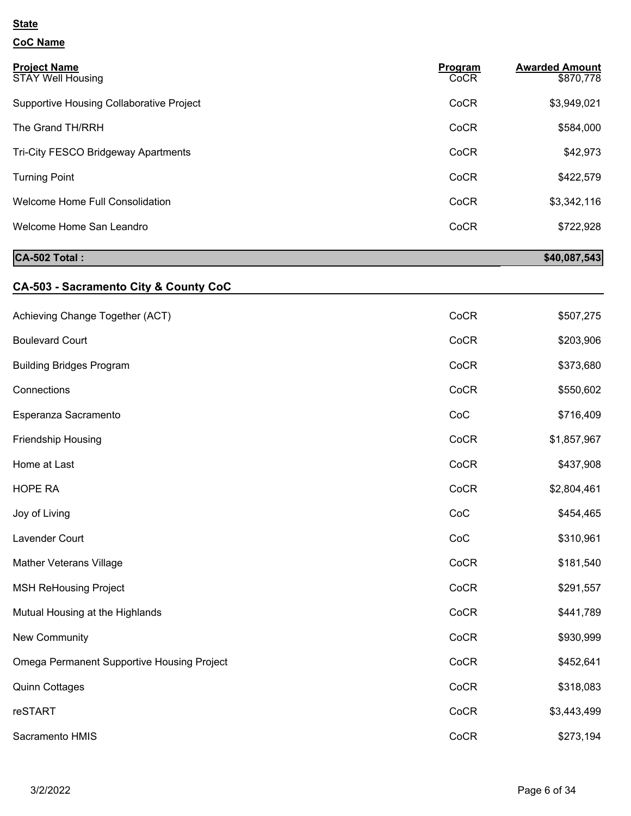### **CoC Name**

| <b>Project Name</b><br><b>STAY Well Housing</b> | Program<br>CoCR | <b>Awarded Amount</b><br>\$870,778 |
|-------------------------------------------------|-----------------|------------------------------------|
| Supportive Housing Collaborative Project        | CoCR            | \$3,949,021                        |
| The Grand TH/RRH                                | CoCR            | \$584,000                          |
| Tri-City FESCO Bridgeway Apartments             | CoCR            | \$42,973                           |
| <b>Turning Point</b>                            | CoCR            | \$422,579                          |
| Welcome Home Full Consolidation                 | CoCR            | \$3,342,116                        |
| Welcome Home San Leandro                        | CoCR            | \$722,928                          |

# **CA-502 Total :** \$40,087,543

# **CA-503 - Sacramento City & County CoC**

| Achieving Change Together (ACT)                   | CoCR | \$507,275   |
|---------------------------------------------------|------|-------------|
| <b>Boulevard Court</b>                            | CoCR | \$203,906   |
| <b>Building Bridges Program</b>                   | CoCR | \$373,680   |
| Connections                                       | CoCR | \$550,602   |
| Esperanza Sacramento                              | CoC  | \$716,409   |
| Friendship Housing                                | CoCR | \$1,857,967 |
| Home at Last                                      | CoCR | \$437,908   |
| <b>HOPE RA</b>                                    | CoCR | \$2,804,461 |
| Joy of Living                                     | CoC  | \$454,465   |
| Lavender Court                                    | CoC  | \$310,961   |
| Mather Veterans Village                           | CoCR | \$181,540   |
| <b>MSH ReHousing Project</b>                      | CoCR | \$291,557   |
| Mutual Housing at the Highlands                   | CoCR | \$441,789   |
| New Community                                     | CoCR | \$930,999   |
| <b>Omega Permanent Supportive Housing Project</b> | CoCR | \$452,641   |
| <b>Quinn Cottages</b>                             | CoCR | \$318,083   |
| reSTART                                           | CoCR | \$3,443,499 |
| Sacramento HMIS                                   | CoCR | \$273,194   |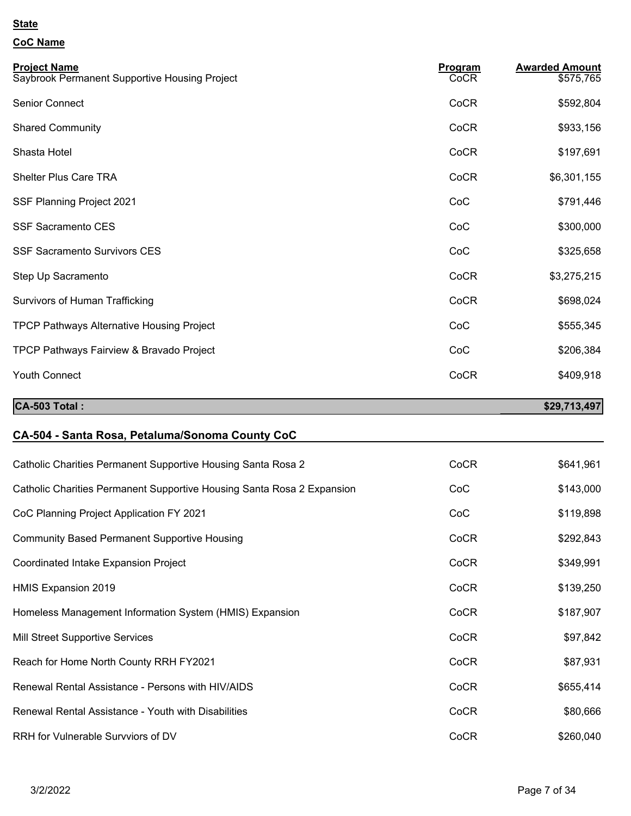| <b>Project Name</b><br>Saybrook Permanent Supportive Housing Project   | Program<br>CoCR | <b>Awarded Amount</b><br>\$575,765 |
|------------------------------------------------------------------------|-----------------|------------------------------------|
| Senior Connect                                                         | CoCR            | \$592,804                          |
| <b>Shared Community</b>                                                | CoCR            | \$933,156                          |
| Shasta Hotel                                                           | CoCR            | \$197,691                          |
| <b>Shelter Plus Care TRA</b>                                           | CoCR            | \$6,301,155                        |
| SSF Planning Project 2021                                              | CoC             | \$791,446                          |
| <b>SSF Sacramento CES</b>                                              | CoC             | \$300,000                          |
| <b>SSF Sacramento Survivors CES</b>                                    | CoC             | \$325,658                          |
| Step Up Sacramento                                                     | CoCR            | \$3,275,215                        |
| <b>Survivors of Human Trafficking</b>                                  | CoCR            | \$698,024                          |
| <b>TPCP Pathways Alternative Housing Project</b>                       | CoC             | \$555,345                          |
| TPCP Pathways Fairview & Bravado Project                               | CoC             | \$206,384                          |
| <b>Youth Connect</b>                                                   | CoCR            | \$409,918                          |
| CA-503 Total:                                                          |                 | \$29,713,497                       |
| CA-504 - Santa Rosa, Petaluma/Sonoma County CoC                        |                 |                                    |
| Catholic Charities Permanent Supportive Housing Santa Rosa 2           | CoCR            | \$641,961                          |
| Catholic Charities Permanent Supportive Housing Santa Rosa 2 Expansion | CoC             | \$143,000                          |
|                                                                        |                 |                                    |

| CoC Planning Project Application FY 2021                | CoC  | \$119,898 |
|---------------------------------------------------------|------|-----------|
| <b>Community Based Permanent Supportive Housing</b>     | CoCR | \$292,843 |
| Coordinated Intake Expansion Project                    | CoCR | \$349,991 |
| HMIS Expansion 2019                                     | CoCR | \$139,250 |
| Homeless Management Information System (HMIS) Expansion | CoCR | \$187,907 |
| Mill Street Supportive Services                         | CoCR | \$97,842  |
| Reach for Home North County RRH FY2021                  | CoCR | \$87,931  |
| Renewal Rental Assistance - Persons with HIV/AIDS       | CoCR | \$655,414 |
| Renewal Rental Assistance - Youth with Disabilities     | CoCR | \$80,666  |
| RRH for Vulnerable Survviors of DV                      | CoCR | \$260,040 |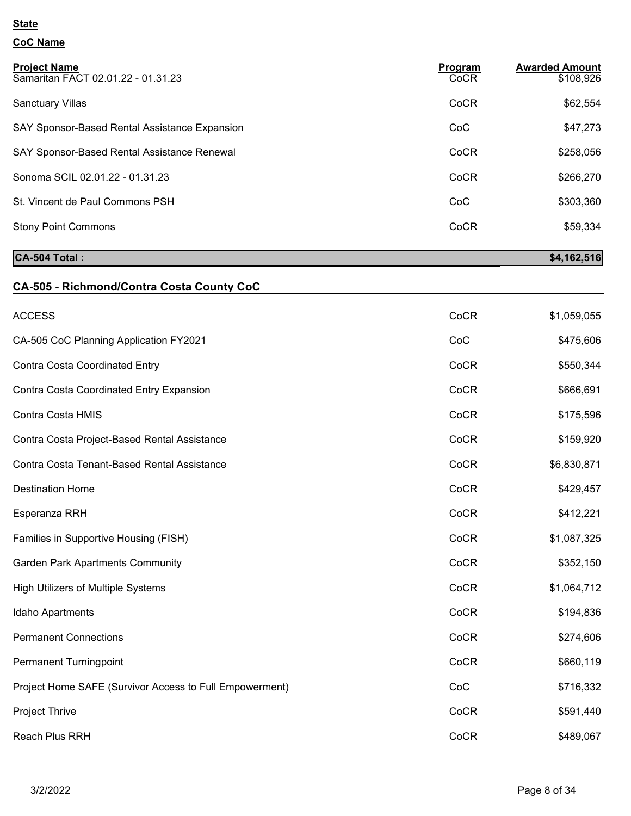### **CoC Name**

| <b>Project Name</b><br>Samaritan FACT 02.01.22 - 01.31.23 | Program<br>CoCR | <b>Awarded Amount</b><br>\$108,926 |
|-----------------------------------------------------------|-----------------|------------------------------------|
| <b>Sanctuary Villas</b>                                   | CoCR            | \$62,554                           |
| SAY Sponsor-Based Rental Assistance Expansion             | CoC             | \$47,273                           |
| SAY Sponsor-Based Rental Assistance Renewal               | CoCR            | \$258,056                          |
| Sonoma SCIL 02.01.22 - 01.31.23                           | CoCR            | \$266,270                          |
| St. Vincent de Paul Commons PSH                           | CoC             | \$303,360                          |
| <b>Stony Point Commons</b>                                | CoCR            | \$59,334                           |
|                                                           |                 |                                    |

# **CA-504 Total :** \$4,162,516

# **CA-505 - Richmond/Contra Costa County CoC**

| <b>ACCESS</b>                                           | CoCR | \$1,059,055 |
|---------------------------------------------------------|------|-------------|
| CA-505 CoC Planning Application FY2021                  | CoC  | \$475,606   |
| Contra Costa Coordinated Entry                          | CoCR | \$550,344   |
| Contra Costa Coordinated Entry Expansion                | CoCR | \$666,691   |
| Contra Costa HMIS                                       | CoCR | \$175,596   |
| Contra Costa Project-Based Rental Assistance            | CoCR | \$159,920   |
| Contra Costa Tenant-Based Rental Assistance             | CoCR | \$6,830,871 |
| <b>Destination Home</b>                                 | CoCR | \$429,457   |
| Esperanza RRH                                           | CoCR | \$412,221   |
| Families in Supportive Housing (FISH)                   | CoCR | \$1,087,325 |
| <b>Garden Park Apartments Community</b>                 | CoCR | \$352,150   |
| High Utilizers of Multiple Systems                      | CoCR | \$1,064,712 |
| Idaho Apartments                                        | CoCR | \$194,836   |
| <b>Permanent Connections</b>                            | CoCR | \$274,606   |
| Permanent Turningpoint                                  | CoCR | \$660,119   |
| Project Home SAFE (Survivor Access to Full Empowerment) | CoC  | \$716,332   |
| Project Thrive                                          | CoCR | \$591,440   |
| Reach Plus RRH                                          | CoCR | \$489,067   |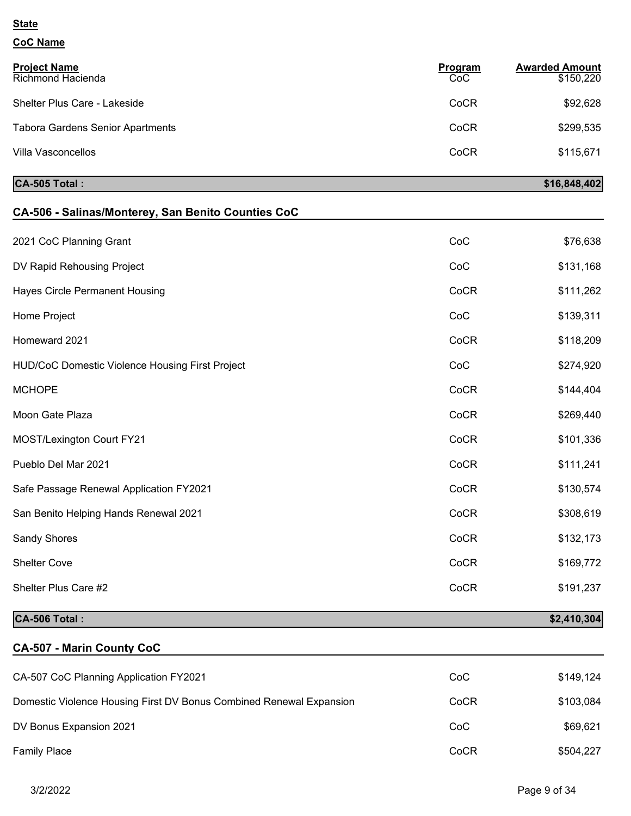# **CoC Name**

| <b>Project Name</b><br>Richmond Hacienda | Program<br>CoC | <b>Awarded Amount</b><br>\$150,220 |
|------------------------------------------|----------------|------------------------------------|
| Shelter Plus Care - Lakeside             | CoCR           | \$92,628                           |
| <b>Tabora Gardens Senior Apartments</b>  | CoCR           | \$299,535                          |
| Villa Vasconcellos                       | CoCR           | \$115,671                          |

### **CA-505 Total :** \$16,848,402

| CA-506 - Salinas/Monterey, San Benito Counties CoC |      |             |
|----------------------------------------------------|------|-------------|
| 2021 CoC Planning Grant                            | CoC  | \$76,638    |
| DV Rapid Rehousing Project                         | CoC  | \$131,168   |
| <b>Hayes Circle Permanent Housing</b>              | CoCR | \$111,262   |
| Home Project                                       | CoC  | \$139,311   |
| Homeward 2021                                      | CoCR | \$118,209   |
| HUD/CoC Domestic Violence Housing First Project    | CoC  | \$274,920   |
| <b>MCHOPE</b>                                      | CoCR | \$144,404   |
| Moon Gate Plaza                                    | CoCR | \$269,440   |
| <b>MOST/Lexington Court FY21</b>                   | CoCR | \$101,336   |
| Pueblo Del Mar 2021                                | CoCR | \$111,241   |
| Safe Passage Renewal Application FY2021            | CoCR | \$130,574   |
| San Benito Helping Hands Renewal 2021              | CoCR | \$308,619   |
| Sandy Shores                                       | CoCR | \$132,173   |
| <b>Shelter Cove</b>                                | CoCR | \$169,772   |
| Shelter Plus Care #2                               | CoCR | \$191,237   |
| CA-506 Total:                                      |      | \$2,410,304 |

### **CA-507 - Marin County CoC**

| CA-507 CoC Planning Application FY2021                              | CoC  | \$149,124 |
|---------------------------------------------------------------------|------|-----------|
| Domestic Violence Housing First DV Bonus Combined Renewal Expansion | CoCR | \$103,084 |
| DV Bonus Expansion 2021                                             | CoC  | \$69,621  |
| <b>Family Place</b>                                                 | CoCR | \$504,227 |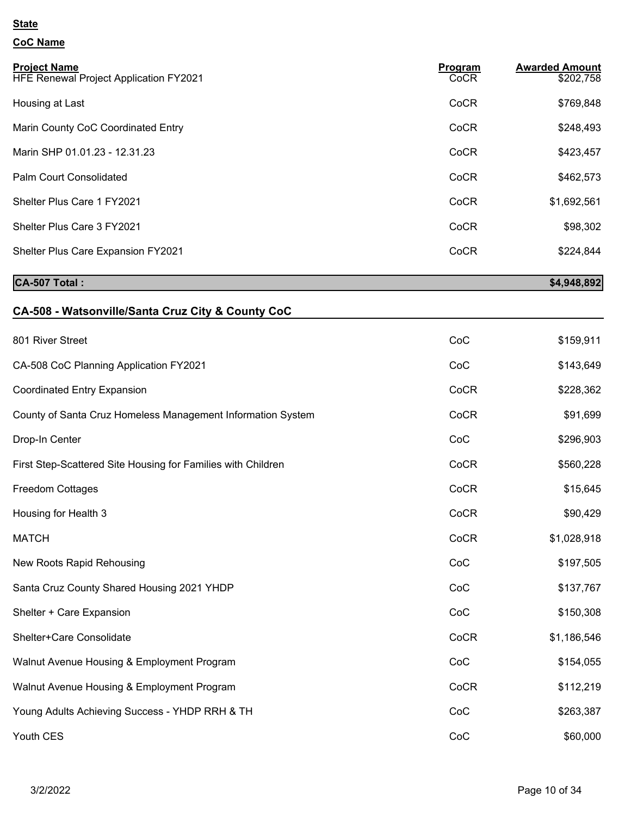# **CoC Name**

| <b>Project Name</b><br>HFE Renewal Project Application FY2021 | Program<br>CoCR | <b>Awarded Amount</b><br>\$202,758 |
|---------------------------------------------------------------|-----------------|------------------------------------|
| Housing at Last                                               | CoCR            | \$769,848                          |
| Marin County CoC Coordinated Entry                            | CoCR            | \$248,493                          |
| Marin SHP 01.01.23 - 12.31.23                                 | CoCR            | \$423,457                          |
| Palm Court Consolidated                                       | CoCR            | \$462,573                          |
| Shelter Plus Care 1 FY2021                                    | CoCR            | \$1,692,561                        |
| Shelter Plus Care 3 FY2021                                    | CoCR            | \$98,302                           |
| Shelter Plus Care Expansion FY2021                            | CoCR            | \$224,844                          |

### **CA-507 Total :** \$4,948,892

# **CA-508 - Watsonville/Santa Cruz City & County CoC**

| 801 River Street                                             | CoC  | \$159,911   |
|--------------------------------------------------------------|------|-------------|
| CA-508 CoC Planning Application FY2021                       | CoC  | \$143,649   |
| <b>Coordinated Entry Expansion</b>                           | CoCR | \$228,362   |
| County of Santa Cruz Homeless Management Information System  | CoCR | \$91,699    |
| Drop-In Center                                               | CoC  | \$296,903   |
| First Step-Scattered Site Housing for Families with Children | CoCR | \$560,228   |
| <b>Freedom Cottages</b>                                      | CoCR | \$15,645    |
| Housing for Health 3                                         | CoCR | \$90,429    |
| <b>MATCH</b>                                                 | CoCR | \$1,028,918 |
| New Roots Rapid Rehousing                                    | CoC  | \$197,505   |
| Santa Cruz County Shared Housing 2021 YHDP                   | CoC  | \$137,767   |
| Shelter + Care Expansion                                     | CoC  | \$150,308   |
| Shelter+Care Consolidate                                     | CoCR | \$1,186,546 |
| Walnut Avenue Housing & Employment Program                   | CoC  | \$154,055   |
| Walnut Avenue Housing & Employment Program                   | CoCR | \$112,219   |
| Young Adults Achieving Success - YHDP RRH & TH               | CoC  | \$263,387   |
| Youth CES                                                    | CoC  | \$60,000    |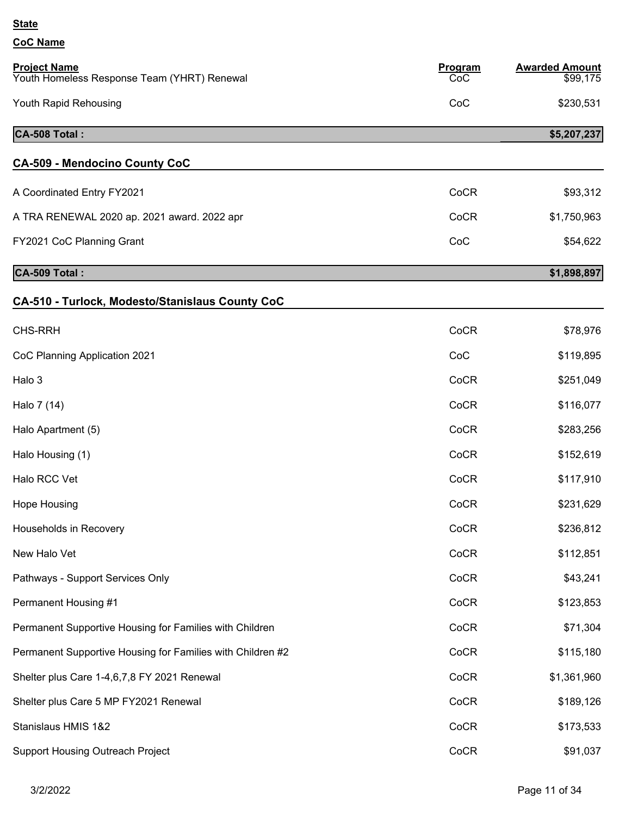| <b>Project Name</b><br>Youth Homeless Response Team (YHRT) Renewal | Program<br>CoC | <b>Awarded Amount</b><br>\$99,175 |
|--------------------------------------------------------------------|----------------|-----------------------------------|
| Youth Rapid Rehousing                                              | CoC            | \$230,531                         |
| CA-508 Total:                                                      |                | \$5,207,237                       |
| <b>CA-509 - Mendocino County CoC</b>                               |                |                                   |
| A Coordinated Entry FY2021                                         | CoCR           | \$93,312                          |
| A TRA RENEWAL 2020 ap. 2021 award. 2022 apr                        | CoCR           | \$1,750,963                       |
| FY2021 CoC Planning Grant                                          | CoC            | \$54,622                          |
| CA-509 Total:                                                      |                | \$1,898,897                       |
| <b>CA-510 - Turlock, Modesto/Stanislaus County CoC</b>             |                |                                   |
| <b>CHS-RRH</b>                                                     | CoCR           | \$78,976                          |
| CoC Planning Application 2021                                      | CoC            | \$119,895                         |
| Halo 3                                                             | CoCR           | \$251,049                         |
| Halo 7 (14)                                                        | CoCR           | \$116,077                         |
| Halo Apartment (5)                                                 | CoCR           | \$283,256                         |
| Halo Housing (1)                                                   | CoCR           | \$152,619                         |
| Halo RCC Vet                                                       | CoCR           | \$117,910                         |
| Hope Housing                                                       | CoCR           | \$231,629                         |
| Households in Recovery                                             | CoCR           | \$236,812                         |
| New Halo Vet                                                       | CoCR           | \$112,851                         |
| Pathways - Support Services Only                                   | CoCR           | \$43,241                          |
| Permanent Housing #1                                               | CoCR           | \$123,853                         |
| Permanent Supportive Housing for Families with Children            | CoCR           | \$71,304                          |
| Permanent Supportive Housing for Families with Children #2         | CoCR           | \$115,180                         |
| Shelter plus Care 1-4,6,7,8 FY 2021 Renewal                        | CoCR           | \$1,361,960                       |
| Shelter plus Care 5 MP FY2021 Renewal                              | CoCR           | \$189,126                         |
| Stanislaus HMIS 1&2                                                | CoCR           | \$173,533                         |
| <b>Support Housing Outreach Project</b>                            | CoCR           | \$91,037                          |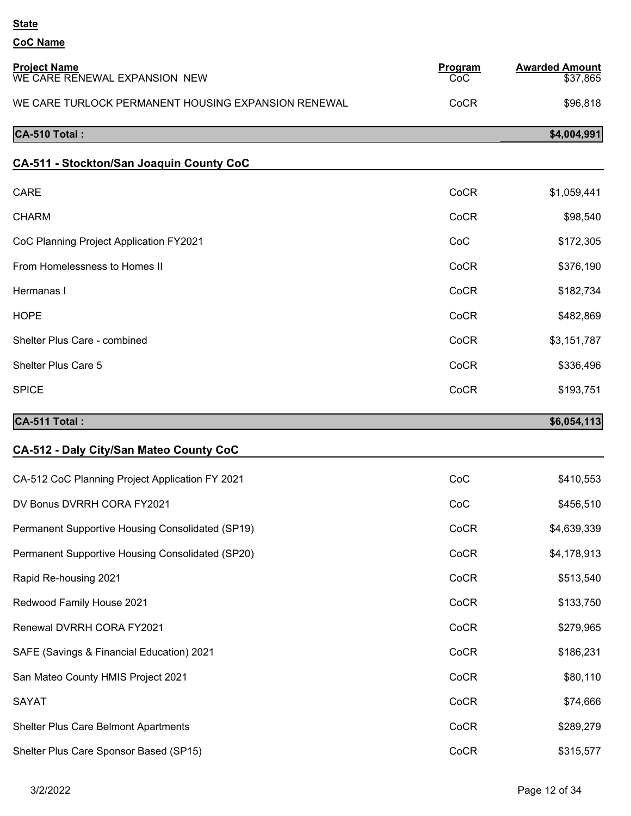| <b>Project Name</b><br>WE CARE RENEWAL EXPANSION NEW | Program<br>CoC | <b>Awarded Amount</b><br>\$37,865 |
|------------------------------------------------------|----------------|-----------------------------------|
| WE CARE TURLOCK PERMANENT HOUSING EXPANSION RENEWAL  | CoCR           | \$96,818                          |
| CA-510 Total:                                        |                | \$4,004,991                       |
| CA-511 - Stockton/San Joaquin County CoC             |                |                                   |
| <b>CARE</b>                                          | CoCR           | \$1,059,441                       |
| <b>CHARM</b>                                         | CoCR           | \$98,540                          |
| CoC Planning Project Application FY2021              | CoC            | \$172,305                         |
| From Homelessness to Homes II                        | CoCR           | \$376,190                         |
| Hermanas I                                           | CoCR           | \$182,734                         |
| <b>HOPE</b>                                          | CoCR           | \$482,869                         |
| Shelter Plus Care - combined                         | CoCR           | \$3,151,787                       |
| Shelter Plus Care 5                                  | CoCR           | \$336,496                         |
| <b>SPICE</b>                                         | CoCR           | \$193,751                         |
| CA-511 Total:                                        |                | \$6,054,113                       |
| CA-512 - Daly City/San Mateo County CoC              |                |                                   |
| CA-512 CoC Planning Project Application FY 2021      | CoC            | \$410,553                         |
| DV Bonus DVRRH CORA FY2021                           | CoC            | \$456,510                         |
| Permanent Supportive Housing Consolidated (SP19)     | CoCR           | \$4,639,339                       |
| Permanent Supportive Housing Consolidated (SP20)     | CoCR           | \$4,178,913                       |
| Rapid Re-housing 2021                                | CoCR           | \$513,540                         |
| Redwood Family House 2021                            | CoCR           | \$133,750                         |
| Renewal DVRRH CORA FY2021                            | CoCR           | \$279,965                         |
| SAFE (Savings & Financial Education) 2021            | CoCR           | \$186,231                         |
|                                                      |                |                                   |
| San Mateo County HMIS Project 2021                   | CoCR           | \$80,110                          |
| <b>SAYAT</b>                                         | CoCR           | \$74,666                          |
| Shelter Plus Care Belmont Apartments                 | CoCR           | \$289,279                         |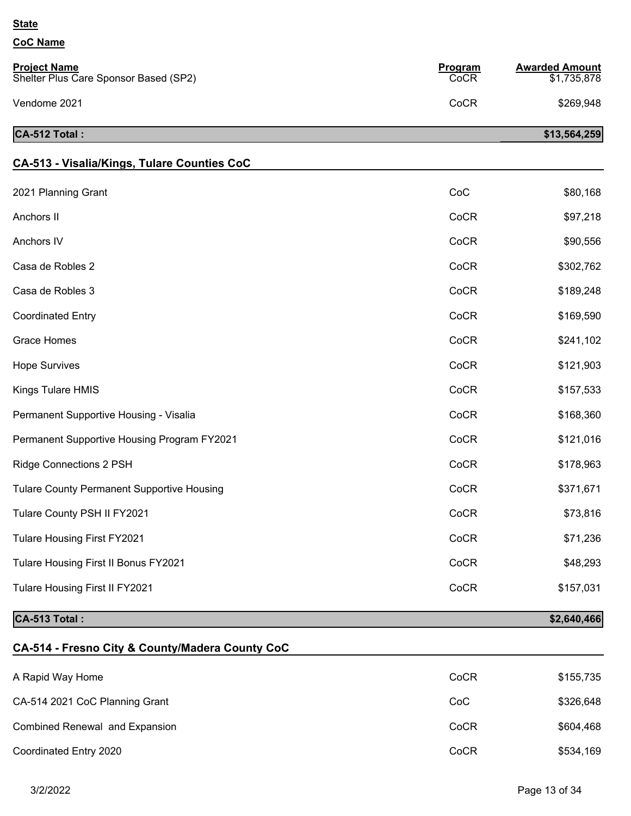### **CoC Name**

| <b>Project Name</b><br>Shelter Plus Care Sponsor Based (SP2) | Program<br>CoCR | <b>Awarded Amount</b><br>\$1,735,878 |
|--------------------------------------------------------------|-----------------|--------------------------------------|
| Vendome 2021                                                 | CoCR            | \$269,948                            |
| CA-512 Total:                                                |                 | \$13,564,259                         |

### **CA-513 - Visalia/Kings, Tulare Counties CoC**

| CA-513 Total:                                     |      | \$2,640,466 |
|---------------------------------------------------|------|-------------|
| Tulare Housing First II FY2021                    | CoCR | \$157,031   |
| Tulare Housing First II Bonus FY2021              | CoCR | \$48,293    |
| Tulare Housing First FY2021                       | CoCR | \$71,236    |
| Tulare County PSH II FY2021                       | CoCR | \$73,816    |
| <b>Tulare County Permanent Supportive Housing</b> | CoCR | \$371,671   |
| <b>Ridge Connections 2 PSH</b>                    | CoCR | \$178,963   |
| Permanent Supportive Housing Program FY2021       | CoCR | \$121,016   |
| Permanent Supportive Housing - Visalia            | CoCR | \$168,360   |
| Kings Tulare HMIS                                 | CoCR | \$157,533   |
| <b>Hope Survives</b>                              | CoCR | \$121,903   |
| Grace Homes                                       | CoCR | \$241,102   |
| <b>Coordinated Entry</b>                          | CoCR | \$169,590   |
| Casa de Robles 3                                  | CoCR | \$189,248   |
| Casa de Robles 2                                  | CoCR | \$302,762   |
| Anchors IV                                        | CoCR | \$90,556    |
| Anchors II                                        | CoCR | \$97,218    |
| 2021 Planning Grant                               | CoC  | \$80,168    |
|                                                   |      |             |

### **CA-514 - Fresno City & County/Madera County CoC**

| A Rapid Way Home               | CoCR | \$155,735 |
|--------------------------------|------|-----------|
| CA-514 2021 CoC Planning Grant | CoC  | \$326,648 |
| Combined Renewal and Expansion | CoCR | \$604,468 |
| Coordinated Entry 2020         | CoCR | \$534,169 |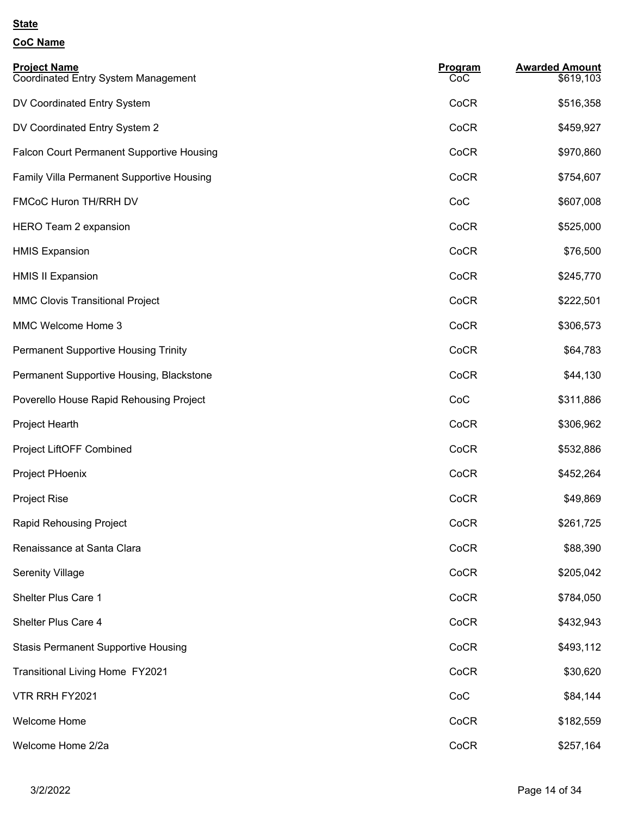| <b>Project Name</b><br><b>Coordinated Entry System Management</b> | Program<br>CoC | <b>Awarded Amount</b><br>\$619,103 |
|-------------------------------------------------------------------|----------------|------------------------------------|
| DV Coordinated Entry System                                       | CoCR           | \$516,358                          |
| DV Coordinated Entry System 2                                     | CoCR           | \$459,927                          |
| <b>Falcon Court Permanent Supportive Housing</b>                  | CoCR           | \$970,860                          |
| Family Villa Permanent Supportive Housing                         | CoCR           | \$754,607                          |
| FMCoC Huron TH/RRH DV                                             | CoC            | \$607,008                          |
| <b>HERO Team 2 expansion</b>                                      | CoCR           | \$525,000                          |
| <b>HMIS Expansion</b>                                             | CoCR           | \$76,500                           |
| <b>HMIS II Expansion</b>                                          | CoCR           | \$245,770                          |
| <b>MMC Clovis Transitional Project</b>                            | CoCR           | \$222,501                          |
| MMC Welcome Home 3                                                | CoCR           | \$306,573                          |
| <b>Permanent Supportive Housing Trinity</b>                       | CoCR           | \$64,783                           |
| Permanent Supportive Housing, Blackstone                          | CoCR           | \$44,130                           |
| Poverello House Rapid Rehousing Project                           | CoC            | \$311,886                          |
| Project Hearth                                                    | CoCR           | \$306,962                          |
| Project LiftOFF Combined                                          | CoCR           | \$532,886                          |
| Project PHoenix                                                   | CoCR           | \$452,264                          |
| <b>Project Rise</b>                                               | CoCR           | \$49,869                           |
| <b>Rapid Rehousing Project</b>                                    | CoCR           | \$261,725                          |
| Renaissance at Santa Clara                                        | CoCR           | \$88,390                           |
| <b>Serenity Village</b>                                           | CoCR           | \$205,042                          |
| Shelter Plus Care 1                                               | CoCR           | \$784,050                          |
| Shelter Plus Care 4                                               | CoCR           | \$432,943                          |
| <b>Stasis Permanent Supportive Housing</b>                        | CoCR           | \$493,112                          |
| <b>Transitional Living Home FY2021</b>                            | CoCR           | \$30,620                           |
| VTR RRH FY2021                                                    | CoC            | \$84,144                           |
| Welcome Home                                                      | CoCR           | \$182,559                          |
| Welcome Home 2/2a                                                 | CoCR           | \$257,164                          |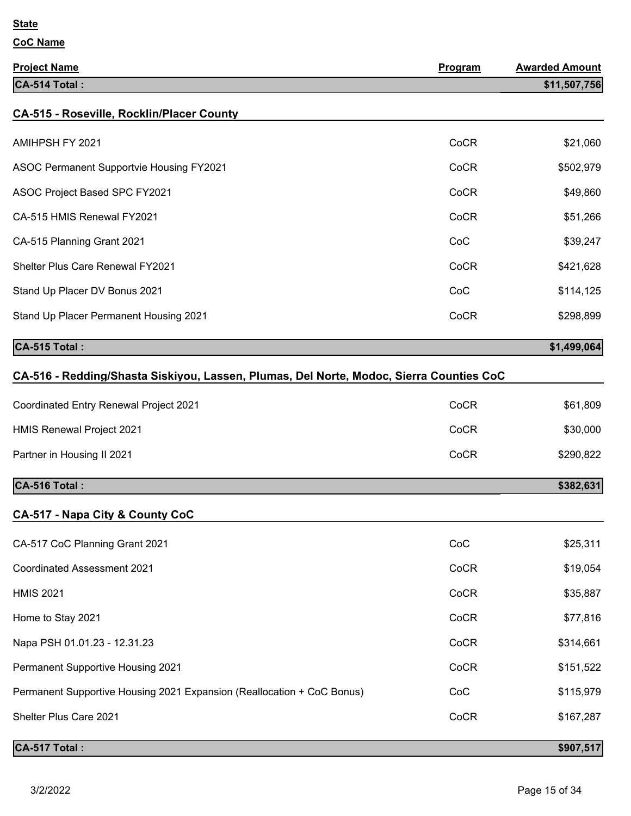| <b>Project Name</b>                                                                     | Program | <b>Awarded Amount</b> |
|-----------------------------------------------------------------------------------------|---------|-----------------------|
| CA-514 Total:                                                                           |         | \$11,507,756          |
| <b>CA-515 - Roseville, Rocklin/Placer County</b>                                        |         |                       |
| AMIHPSH FY 2021                                                                         | CoCR    | \$21,060              |
| <b>ASOC Permanent Supportvie Housing FY2021</b>                                         | CoCR    | \$502,979             |
| ASOC Project Based SPC FY2021                                                           | CoCR    | \$49,860              |
| CA-515 HMIS Renewal FY2021                                                              | CoCR    | \$51,266              |
| CA-515 Planning Grant 2021                                                              | CoC     | \$39,247              |
| Shelter Plus Care Renewal FY2021                                                        | CoCR    | \$421,628             |
| Stand Up Placer DV Bonus 2021                                                           | CoC     | \$114,125             |
| Stand Up Placer Permanent Housing 2021                                                  | CoCR    | \$298,899             |
| CA-515 Total:                                                                           |         | \$1,499,064           |
| CA-516 - Redding/Shasta Siskiyou, Lassen, Plumas, Del Norte, Modoc, Sierra Counties CoC |         |                       |
| Coordinated Entry Renewal Project 2021                                                  | CoCR    | \$61,809              |
| <b>HMIS Renewal Project 2021</b>                                                        | CoCR    | \$30,000              |
| Partner in Housing II 2021                                                              | CoCR    | \$290,822             |
| CA-516 Total:                                                                           |         | \$382,631             |
| CA-517 - Napa City & County CoC                                                         |         |                       |
| CA-517 CoC Planning Grant 2021                                                          | CoC     | \$25,311              |
| Coordinated Assessment 2021                                                             | CoCR    | \$19,054              |
| <b>HMIS 2021</b>                                                                        | CoCR    | \$35,887              |
| Home to Stay 2021                                                                       | CoCR    | \$77,816              |
| Napa PSH 01.01.23 - 12.31.23                                                            | CoCR    | \$314,661             |
| Permanent Supportive Housing 2021                                                       | CoCR    | \$151,522             |
| Permanent Supportive Housing 2021 Expansion (Reallocation + CoC Bonus)                  | CoC     | \$115,979             |
| Shelter Plus Care 2021                                                                  | CoCR    | \$167,287             |
| CA-517 Total :                                                                          |         | \$907,517             |
|                                                                                         |         |                       |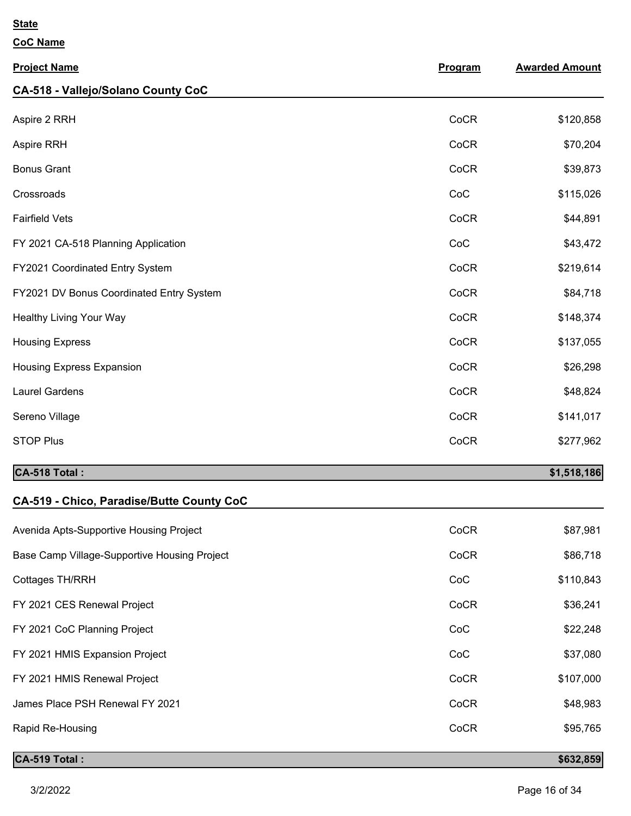**CoC Name**

| <b>Project Name</b>                      | Program | <b>Awarded Amount</b> |
|------------------------------------------|---------|-----------------------|
| CA-518 - Vallejo/Solano County CoC       |         |                       |
| Aspire 2 RRH                             | CoCR    | \$120,858             |
| Aspire RRH                               | CoCR    | \$70,204              |
| <b>Bonus Grant</b>                       | CoCR    | \$39,873              |
| Crossroads                               | CoC     | \$115,026             |
| <b>Fairfield Vets</b>                    | CoCR    | \$44,891              |
| FY 2021 CA-518 Planning Application      | CoC     | \$43,472              |
| FY2021 Coordinated Entry System          | CoCR    | \$219,614             |
| FY2021 DV Bonus Coordinated Entry System | CoCR    | \$84,718              |
| Healthy Living Your Way                  | CoCR    | \$148,374             |
| <b>Housing Express</b>                   | CoCR    | \$137,055             |
| <b>Housing Express Expansion</b>         | CoCR    | \$26,298              |
| <b>Laurel Gardens</b>                    | CoCR    | \$48,824              |
| Sereno Village                           | CoCR    | \$141,017             |
| <b>STOP Plus</b>                         | CoCR    | \$277,962             |
| CA-518 Total:                            |         | \$1,518,186           |

# **CA-519 - Chico, Paradise/Butte County CoC**

| <b>CA-519 Total:</b>                         |      | \$632,859 |
|----------------------------------------------|------|-----------|
| Rapid Re-Housing                             | CoCR | \$95,765  |
| James Place PSH Renewal FY 2021              | CoCR | \$48,983  |
| FY 2021 HMIS Renewal Project                 | CoCR | \$107,000 |
| FY 2021 HMIS Expansion Project               | CoC  | \$37,080  |
| FY 2021 CoC Planning Project                 | CoC  | \$22,248  |
| FY 2021 CES Renewal Project                  | CoCR | \$36,241  |
| Cottages TH/RRH                              | CoC  | \$110,843 |
| Base Camp Village-Supportive Housing Project | CoCR | \$86,718  |
| Avenida Apts-Supportive Housing Project      | CoCR | \$87,981  |
|                                              |      |           |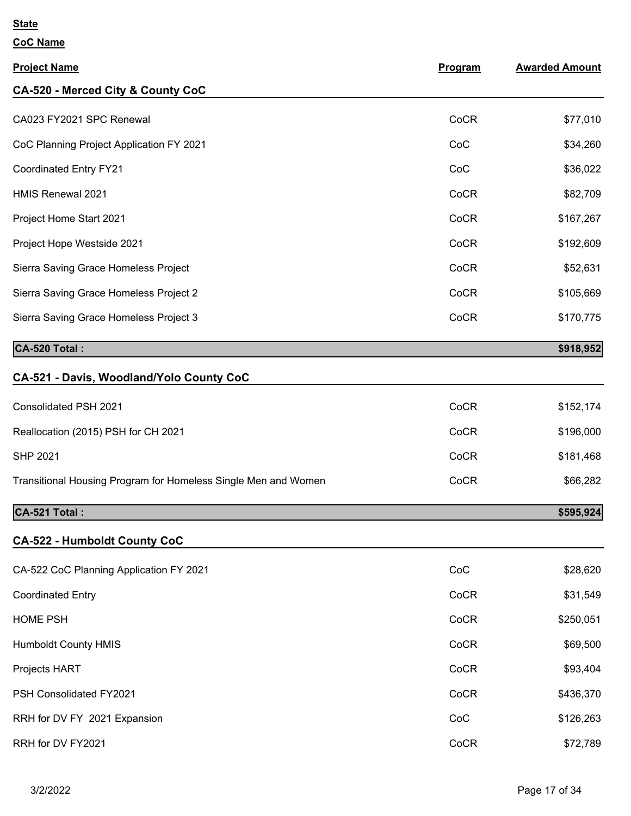| <b>Project Name</b>                                            | <b>Program</b> | <b>Awarded Amount</b> |
|----------------------------------------------------------------|----------------|-----------------------|
| CA-520 - Merced City & County CoC                              |                |                       |
| CA023 FY2021 SPC Renewal                                       | CoCR           | \$77,010              |
| CoC Planning Project Application FY 2021                       | CoC            | \$34,260              |
| <b>Coordinated Entry FY21</b>                                  | CoC            | \$36,022              |
| <b>HMIS Renewal 2021</b>                                       | CoCR           | \$82,709              |
| Project Home Start 2021                                        | CoCR           | \$167,267             |
| Project Hope Westside 2021                                     | CoCR           | \$192,609             |
| Sierra Saving Grace Homeless Project                           | CoCR           | \$52,631              |
| Sierra Saving Grace Homeless Project 2                         | CoCR           | \$105,669             |
| Sierra Saving Grace Homeless Project 3                         | CoCR           | \$170,775             |
| CA-520 Total:                                                  |                | \$918,952             |
| CA-521 - Davis, Woodland/Yolo County CoC                       |                |                       |
| Consolidated PSH 2021                                          | CoCR           | \$152,174             |
| Reallocation (2015) PSH for CH 2021                            | CoCR           | \$196,000             |
| <b>SHP 2021</b>                                                | CoCR           | \$181,468             |
| Transitional Housing Program for Homeless Single Men and Women | CoCR           | \$66,282              |
| CA-521 Total:                                                  |                | \$595,924             |
| <b>CA-522 - Humboldt County CoC</b>                            |                |                       |
| CA-522 CoC Planning Application FY 2021                        | CoC            | \$28,620              |
| <b>Coordinated Entry</b>                                       | CoCR           | \$31,549              |
| <b>HOME PSH</b>                                                | CoCR           | \$250,051             |
| <b>Humboldt County HMIS</b>                                    | CoCR           | \$69,500              |
| Projects HART                                                  | CoCR           | \$93,404              |
| PSH Consolidated FY2021                                        | CoCR           | \$436,370             |
| RRH for DV FY 2021 Expansion                                   | CoC            | \$126,263             |
| RRH for DV FY2021                                              | CoCR           | \$72,789              |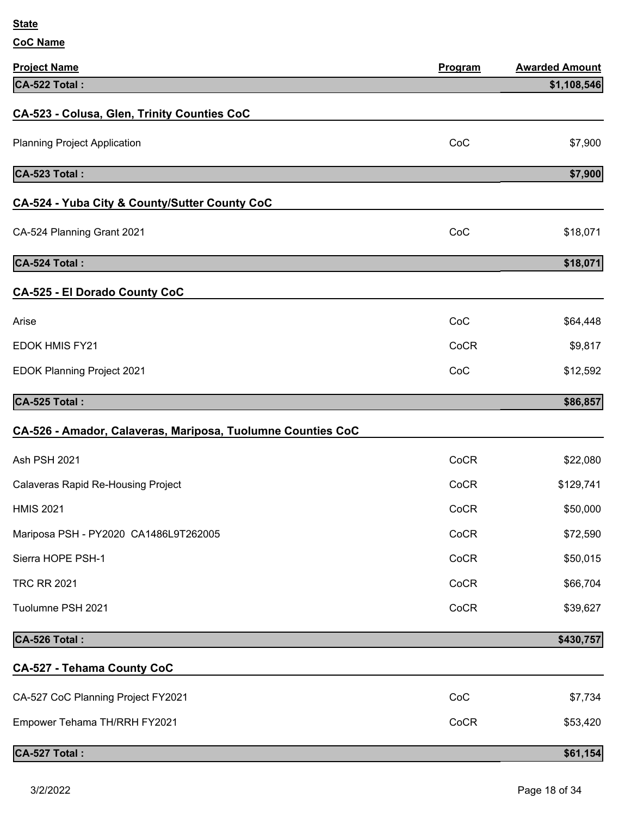| <b>Project Name</b>                                         | Program | <b>Awarded Amount</b> |
|-------------------------------------------------------------|---------|-----------------------|
| CA-522 Total:                                               |         | \$1,108,546           |
| CA-523 - Colusa, Glen, Trinity Counties CoC                 |         |                       |
| <b>Planning Project Application</b>                         | CoC     | \$7,900               |
| CA-523 Total:                                               |         | \$7,900               |
| CA-524 - Yuba City & County/Sutter County CoC               |         |                       |
| CA-524 Planning Grant 2021                                  | CoC     | \$18,071              |
| CA-524 Total:                                               |         | \$18,071              |
| <b>CA-525 - El Dorado County CoC</b>                        |         |                       |
| Arise                                                       | CoC     | \$64,448              |
| <b>EDOK HMIS FY21</b>                                       | CoCR    | \$9,817               |
| <b>EDOK Planning Project 2021</b>                           | CoC     | \$12,592              |
| CA-525 Total:                                               |         | \$86,857              |
| CA-526 - Amador, Calaveras, Mariposa, Tuolumne Counties CoC |         |                       |
| Ash PSH 2021                                                | CoCR    | \$22,080              |
| <b>Calaveras Rapid Re-Housing Project</b>                   | CoCR    | \$129,741             |
| <b>HMIS 2021</b>                                            | CoCR    | \$50,000              |
| Mariposa PSH - PY2020 CA1486L9T262005                       | CoCR    | \$72,590              |
| Sierra HOPE PSH-1                                           | CoCR    | \$50,015              |
| <b>TRC RR 2021</b>                                          | CoCR    | \$66,704              |
| Tuolumne PSH 2021                                           | CoCR    | \$39,627              |
| CA-526 Total:                                               |         | \$430,757             |
| <b>CA-527 - Tehama County CoC</b>                           |         |                       |
| CA-527 CoC Planning Project FY2021                          | CoC     | \$7,734               |
| Empower Tehama TH/RRH FY2021                                | CoCR    | \$53,420              |
| CA-527 Total:                                               |         | \$61,154              |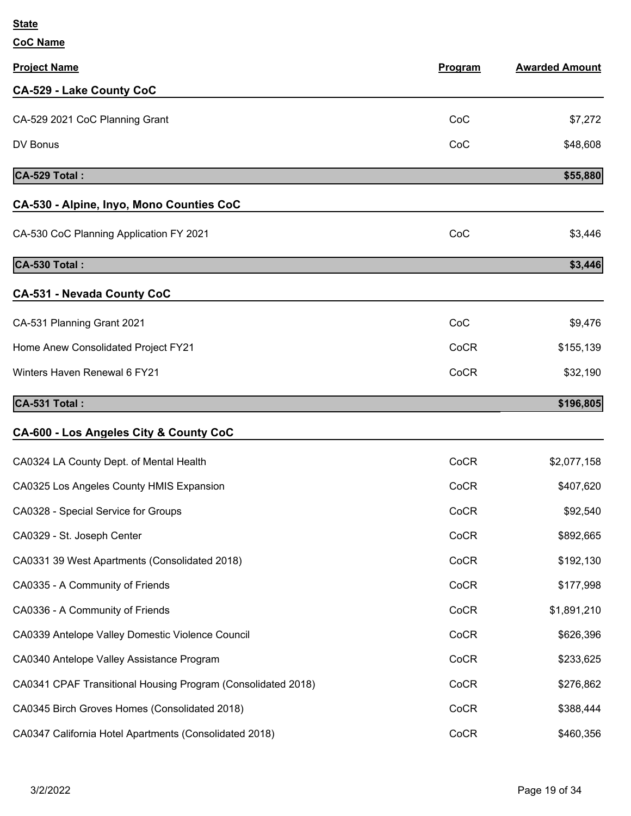**CoC Name**

| <b>Project Name</b>                                          | Program | <b>Awarded Amount</b> |
|--------------------------------------------------------------|---------|-----------------------|
| <b>CA-529 - Lake County CoC</b>                              |         |                       |
| CA-529 2021 CoC Planning Grant                               | CoC     | \$7,272               |
| DV Bonus                                                     | CoC     | \$48,608              |
| CA-529 Total:                                                |         | \$55,880              |
| CA-530 - Alpine, Inyo, Mono Counties CoC                     |         |                       |
| CA-530 CoC Planning Application FY 2021                      | CoC     | \$3,446               |
| CA-530 Total:                                                |         | \$3,446               |
| <b>CA-531 - Nevada County CoC</b>                            |         |                       |
| CA-531 Planning Grant 2021                                   | CoC     | \$9,476               |
| Home Anew Consolidated Project FY21                          | CoCR    | \$155,139             |
| Winters Haven Renewal 6 FY21                                 | CoCR    | \$32,190              |
| CA-531 Total:                                                |         | \$196,805             |
| CA-600 - Los Angeles City & County CoC                       |         |                       |
| CA0324 LA County Dept. of Mental Health                      | CoCR    | \$2,077,158           |
| CA0325 Los Angeles County HMIS Expansion                     | CoCR    | \$407,620             |
| CA0328 - Special Service for Groups                          | CoCR    | \$92,540              |
| CA0329 - St. Joseph Center                                   | CoCR    | \$892,665             |
| CA0331 39 West Apartments (Consolidated 2018)                | CoCR    | \$192,130             |
| CA0335 - A Community of Friends                              | CoCR    | \$177,998             |
| CA0336 - A Community of Friends                              | CoCR    | \$1,891,210           |
| CA0339 Antelope Valley Domestic Violence Council             | CoCR    | \$626,396             |
| CA0340 Antelope Valley Assistance Program                    | CoCR    | \$233,625             |
| CA0341 CPAF Transitional Housing Program (Consolidated 2018) | CoCR    | \$276,862             |
| CA0345 Birch Groves Homes (Consolidated 2018)                | CoCR    | \$388,444             |

CA0347 California Hotel Apartments (Consolidated 2018) COCR COCR \$460,356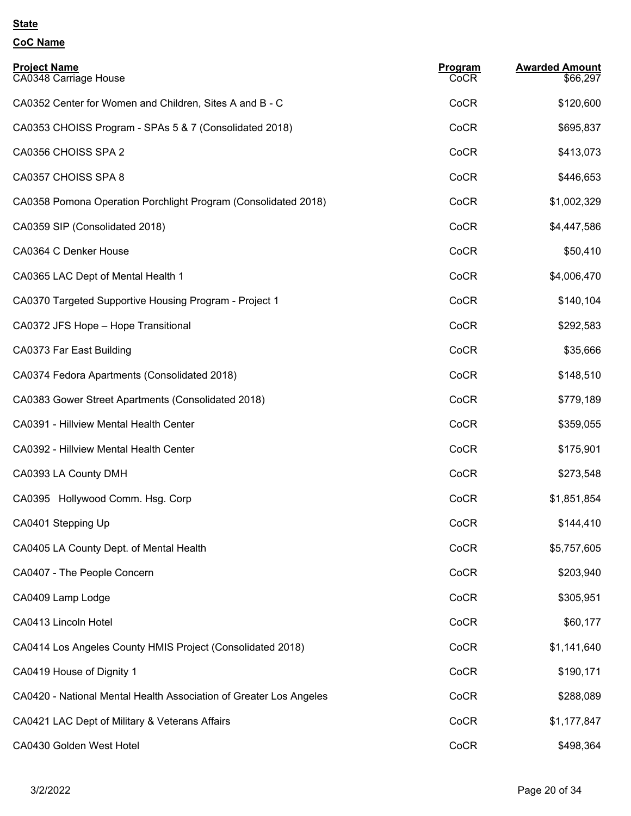| <b>Project Name</b><br>CA0348 Carriage House                       | Program<br>CoCR | <b>Awarded Amount</b><br>\$66,297 |
|--------------------------------------------------------------------|-----------------|-----------------------------------|
| CA0352 Center for Women and Children, Sites A and B - C            | CoCR            | \$120,600                         |
| CA0353 CHOISS Program - SPAs 5 & 7 (Consolidated 2018)             | CoCR            | \$695,837                         |
| CA0356 CHOISS SPA 2                                                | CoCR            | \$413,073                         |
| CA0357 CHOISS SPA 8                                                | CoCR            | \$446,653                         |
| CA0358 Pomona Operation Porchlight Program (Consolidated 2018)     | CoCR            | \$1,002,329                       |
| CA0359 SIP (Consolidated 2018)                                     | CoCR            | \$4,447,586                       |
| CA0364 C Denker House                                              | CoCR            | \$50,410                          |
| CA0365 LAC Dept of Mental Health 1                                 | CoCR            | \$4,006,470                       |
| CA0370 Targeted Supportive Housing Program - Project 1             | CoCR            | \$140,104                         |
| CA0372 JFS Hope - Hope Transitional                                | CoCR            | \$292,583                         |
| CA0373 Far East Building                                           | CoCR            | \$35,666                          |
| CA0374 Fedora Apartments (Consolidated 2018)                       | CoCR            | \$148,510                         |
| CA0383 Gower Street Apartments (Consolidated 2018)                 | CoCR            | \$779,189                         |
| CA0391 - Hillview Mental Health Center                             | CoCR            | \$359,055                         |
| CA0392 - Hillview Mental Health Center                             | CoCR            | \$175,901                         |
| CA0393 LA County DMH                                               | CoCR            | \$273,548                         |
| CA0395 Hollywood Comm. Hsg. Corp                                   | CoCR            | \$1,851,854                       |
| CA0401 Stepping Up                                                 | CoCR            | \$144,410                         |
| CA0405 LA County Dept. of Mental Health                            | CoCR            | \$5,757,605                       |
| CA0407 - The People Concern                                        | CoCR            | \$203,940                         |
| CA0409 Lamp Lodge                                                  | CoCR            | \$305,951                         |
| CA0413 Lincoln Hotel                                               | CoCR            | \$60,177                          |
| CA0414 Los Angeles County HMIS Project (Consolidated 2018)         | CoCR            | \$1,141,640                       |
| CA0419 House of Dignity 1                                          | CoCR            | \$190,171                         |
| CA0420 - National Mental Health Association of Greater Los Angeles | CoCR            | \$288,089                         |
| CA0421 LAC Dept of Military & Veterans Affairs                     | CoCR            | \$1,177,847                       |
| CA0430 Golden West Hotel                                           | CoCR            | \$498,364                         |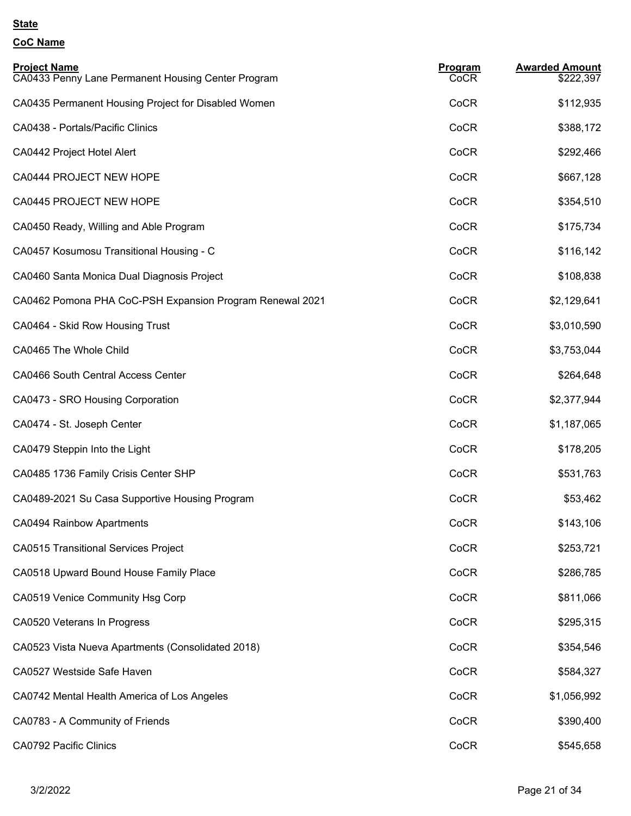| <b>Project Name</b><br>CA0433 Penny Lane Permanent Housing Center Program | Program<br>CoCR | <b>Awarded Amount</b><br>\$222,397 |
|---------------------------------------------------------------------------|-----------------|------------------------------------|
| CA0435 Permanent Housing Project for Disabled Women                       | CoCR            | \$112,935                          |
| CA0438 - Portals/Pacific Clinics                                          | CoCR            | \$388,172                          |
| CA0442 Project Hotel Alert                                                | CoCR            | \$292,466                          |
| CA0444 PROJECT NEW HOPE                                                   | CoCR            | \$667,128                          |
| CA0445 PROJECT NEW HOPE                                                   | CoCR            | \$354,510                          |
| CA0450 Ready, Willing and Able Program                                    | CoCR            | \$175,734                          |
| CA0457 Kosumosu Transitional Housing - C                                  | CoCR            | \$116,142                          |
| CA0460 Santa Monica Dual Diagnosis Project                                | CoCR            | \$108,838                          |
| CA0462 Pomona PHA CoC-PSH Expansion Program Renewal 2021                  | CoCR            | \$2,129,641                        |
| CA0464 - Skid Row Housing Trust                                           | CoCR            | \$3,010,590                        |
| CA0465 The Whole Child                                                    | CoCR            | \$3,753,044                        |
| CA0466 South Central Access Center                                        | CoCR            | \$264,648                          |
| CA0473 - SRO Housing Corporation                                          | CoCR            | \$2,377,944                        |
| CA0474 - St. Joseph Center                                                | CoCR            | \$1,187,065                        |
| CA0479 Steppin Into the Light                                             | CoCR            | \$178,205                          |
| CA0485 1736 Family Crisis Center SHP                                      | CoCR            | \$531,763                          |
| CA0489-2021 Su Casa Supportive Housing Program                            | CoCR            | \$53,462                           |
| CA0494 Rainbow Apartments                                                 | CoCR            | \$143,106                          |
| <b>CA0515 Transitional Services Project</b>                               | CoCR            | \$253,721                          |
| CA0518 Upward Bound House Family Place                                    | CoCR            | \$286,785                          |
| CA0519 Venice Community Hsg Corp                                          | CoCR            | \$811,066                          |
| CA0520 Veterans In Progress                                               | CoCR            | \$295,315                          |
| CA0523 Vista Nueva Apartments (Consolidated 2018)                         | CoCR            | \$354,546                          |
| CA0527 Westside Safe Haven                                                | CoCR            | \$584,327                          |
| CA0742 Mental Health America of Los Angeles                               | CoCR            | \$1,056,992                        |
| CA0783 - A Community of Friends                                           | CoCR            | \$390,400                          |
| <b>CA0792 Pacific Clinics</b>                                             | CoCR            | \$545,658                          |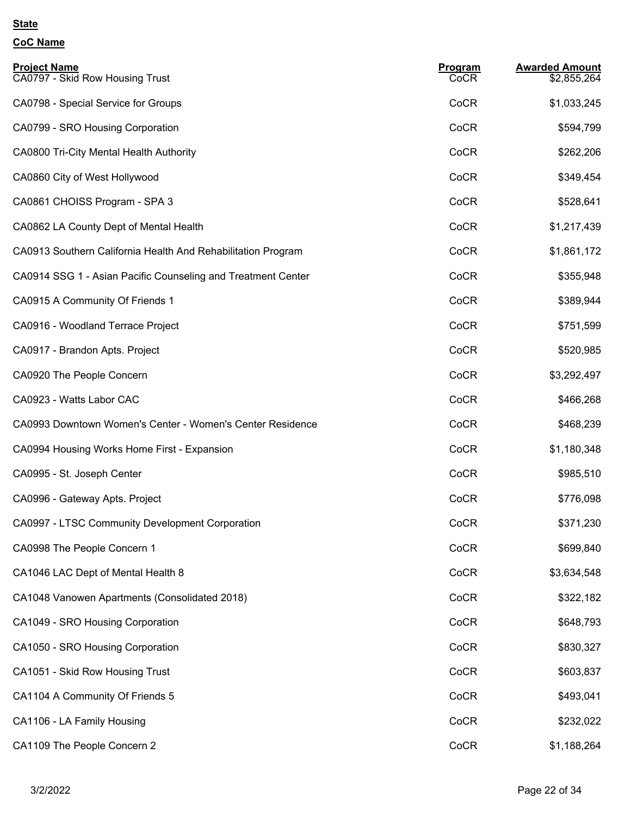| <b>Project Name</b><br>CA0797 - Skid Row Housing Trust       | Program<br>CoCR | <b>Awarded Amount</b><br>\$2,855,264 |
|--------------------------------------------------------------|-----------------|--------------------------------------|
| CA0798 - Special Service for Groups                          | CoCR            | \$1,033,245                          |
| CA0799 - SRO Housing Corporation                             | CoCR            | \$594,799                            |
| CA0800 Tri-City Mental Health Authority                      | CoCR            | \$262,206                            |
| CA0860 City of West Hollywood                                | CoCR            | \$349,454                            |
| CA0861 CHOISS Program - SPA 3                                | CoCR            | \$528,641                            |
| CA0862 LA County Dept of Mental Health                       | CoCR            | \$1,217,439                          |
| CA0913 Southern California Health And Rehabilitation Program | CoCR            | \$1,861,172                          |
| CA0914 SSG 1 - Asian Pacific Counseling and Treatment Center | CoCR            | \$355,948                            |
| CA0915 A Community Of Friends 1                              | CoCR            | \$389,944                            |
| CA0916 - Woodland Terrace Project                            | CoCR            | \$751,599                            |
| CA0917 - Brandon Apts. Project                               | CoCR            | \$520,985                            |
| CA0920 The People Concern                                    | CoCR            | \$3,292,497                          |
| CA0923 - Watts Labor CAC                                     | CoCR            | \$466,268                            |
| CA0993 Downtown Women's Center - Women's Center Residence    | CoCR            | \$468,239                            |
| CA0994 Housing Works Home First - Expansion                  | CoCR            | \$1,180,348                          |
| CA0995 - St. Joseph Center                                   | CoCR            | \$985,510                            |
| CA0996 - Gateway Apts. Project                               | CoCR            | \$776,098                            |
| CA0997 - LTSC Community Development Corporation              | CoCR            | \$371,230                            |
| CA0998 The People Concern 1                                  | CoCR            | \$699,840                            |
| CA1046 LAC Dept of Mental Health 8                           | CoCR            | \$3,634,548                          |
| CA1048 Vanowen Apartments (Consolidated 2018)                | CoCR            | \$322,182                            |
| CA1049 - SRO Housing Corporation                             | CoCR            | \$648,793                            |
| CA1050 - SRO Housing Corporation                             | CoCR            | \$830,327                            |
| CA1051 - Skid Row Housing Trust                              | CoCR            | \$603,837                            |
| CA1104 A Community Of Friends 5                              | CoCR            | \$493,041                            |
| CA1106 - LA Family Housing                                   | CoCR            | \$232,022                            |
| CA1109 The People Concern 2                                  | CoCR            | \$1,188,264                          |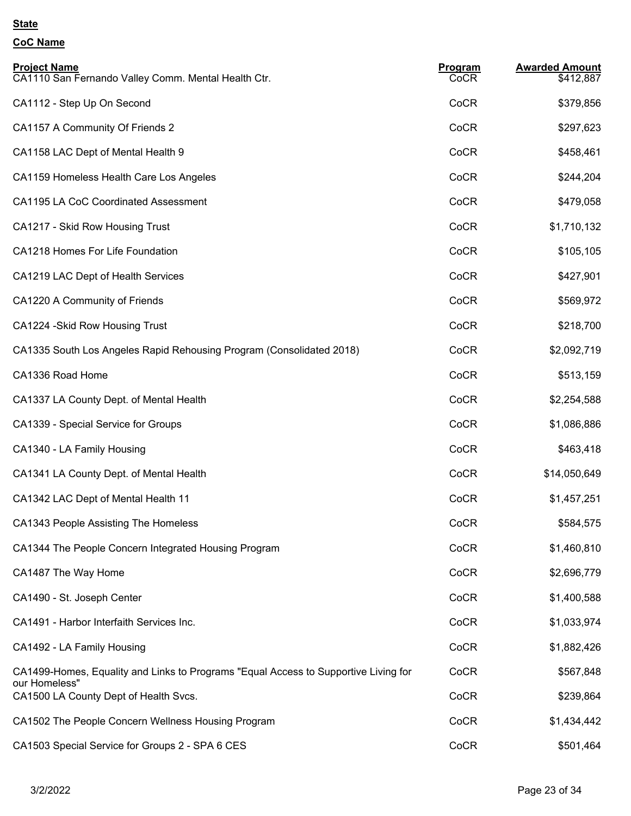| <b>Project Name</b><br>CA1110 San Fernando Valley Comm. Mental Health Ctr.                           | <b>Program</b><br>CoCR | <b>Awarded Amount</b><br>\$412,887 |
|------------------------------------------------------------------------------------------------------|------------------------|------------------------------------|
| CA1112 - Step Up On Second                                                                           | CoCR                   | \$379,856                          |
| CA1157 A Community Of Friends 2                                                                      | CoCR                   | \$297,623                          |
| CA1158 LAC Dept of Mental Health 9                                                                   | CoCR                   | \$458,461                          |
| CA1159 Homeless Health Care Los Angeles                                                              | CoCR                   | \$244,204                          |
| <b>CA1195 LA CoC Coordinated Assessment</b>                                                          | CoCR                   | \$479,058                          |
| CA1217 - Skid Row Housing Trust                                                                      | CoCR                   | \$1,710,132                        |
| CA1218 Homes For Life Foundation                                                                     | CoCR                   | \$105,105                          |
| CA1219 LAC Dept of Health Services                                                                   | CoCR                   | \$427,901                          |
| CA1220 A Community of Friends                                                                        | CoCR                   | \$569,972                          |
| CA1224 - Skid Row Housing Trust                                                                      | CoCR                   | \$218,700                          |
| CA1335 South Los Angeles Rapid Rehousing Program (Consolidated 2018)                                 | CoCR                   | \$2,092,719                        |
| CA1336 Road Home                                                                                     | CoCR                   | \$513,159                          |
| CA1337 LA County Dept. of Mental Health                                                              | CoCR                   | \$2,254,588                        |
| CA1339 - Special Service for Groups                                                                  | CoCR                   | \$1,086,886                        |
| CA1340 - LA Family Housing                                                                           | CoCR                   | \$463,418                          |
| CA1341 LA County Dept. of Mental Health                                                              | CoCR                   | \$14,050,649                       |
| CA1342 LAC Dept of Mental Health 11                                                                  | CoCR                   | \$1,457,251                        |
| CA1343 People Assisting The Homeless                                                                 | CoCR                   | \$584,575                          |
| CA1344 The People Concern Integrated Housing Program                                                 | CoCR                   | \$1,460,810                        |
| CA1487 The Way Home                                                                                  | CoCR                   | \$2,696,779                        |
| CA1490 - St. Joseph Center                                                                           | CoCR                   | \$1,400,588                        |
| CA1491 - Harbor Interfaith Services Inc.                                                             | CoCR                   | \$1,033,974                        |
| CA1492 - LA Family Housing                                                                           | CoCR                   | \$1,882,426                        |
| CA1499-Homes, Equality and Links to Programs "Equal Access to Supportive Living for<br>our Homeless" | CoCR                   | \$567,848                          |
| CA1500 LA County Dept of Health Svcs.                                                                | CoCR                   | \$239,864                          |
| CA1502 The People Concern Wellness Housing Program                                                   | CoCR                   | \$1,434,442                        |
| CA1503 Special Service for Groups 2 - SPA 6 CES                                                      | CoCR                   | \$501,464                          |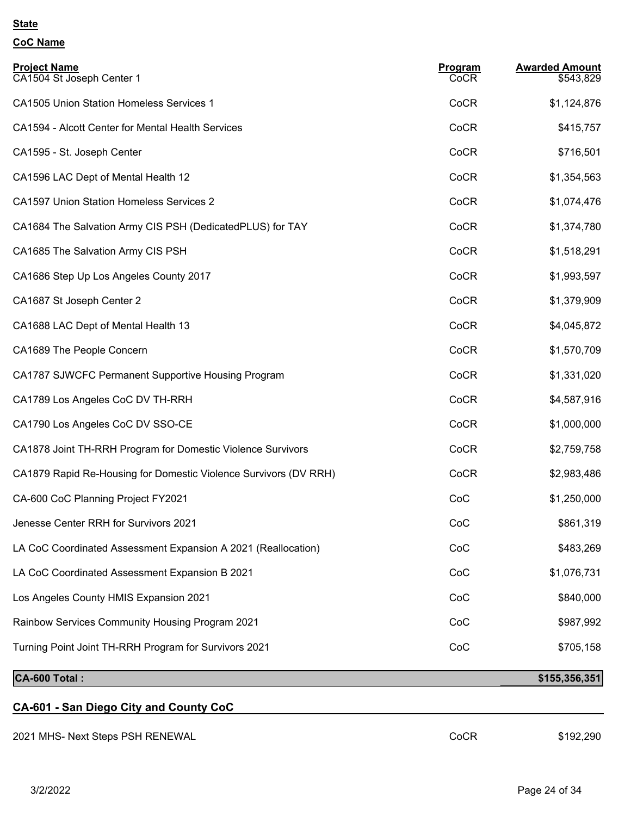| <b>Project Name</b><br>CA1504 St Joseph Center 1                 | <b>Program</b><br>CoCR | <b>Awarded Amount</b><br>\$543,829 |
|------------------------------------------------------------------|------------------------|------------------------------------|
| <b>CA1505 Union Station Homeless Services 1</b>                  | CoCR                   | \$1,124,876                        |
| CA1594 - Alcott Center for Mental Health Services                | CoCR                   | \$415,757                          |
| CA1595 - St. Joseph Center                                       | CoCR                   | \$716,501                          |
| CA1596 LAC Dept of Mental Health 12                              | CoCR                   | \$1,354,563                        |
| <b>CA1597 Union Station Homeless Services 2</b>                  | CoCR                   | \$1,074,476                        |
| CA1684 The Salvation Army CIS PSH (DedicatedPLUS) for TAY        | CoCR                   | \$1,374,780                        |
| CA1685 The Salvation Army CIS PSH                                | CoCR                   | \$1,518,291                        |
| CA1686 Step Up Los Angeles County 2017                           | CoCR                   | \$1,993,597                        |
| CA1687 St Joseph Center 2                                        | CoCR                   | \$1,379,909                        |
| CA1688 LAC Dept of Mental Health 13                              | CoCR                   | \$4,045,872                        |
| CA1689 The People Concern                                        | CoCR                   | \$1,570,709                        |
| CA1787 SJWCFC Permanent Supportive Housing Program               | CoCR                   | \$1,331,020                        |
| CA1789 Los Angeles CoC DV TH-RRH                                 | CoCR                   | \$4,587,916                        |
| CA1790 Los Angeles CoC DV SSO-CE                                 | CoCR                   | \$1,000,000                        |
| CA1878 Joint TH-RRH Program for Domestic Violence Survivors      | CoCR                   | \$2,759,758                        |
| CA1879 Rapid Re-Housing for Domestic Violence Survivors (DV RRH) | CoCR                   | \$2,983,486                        |
| CA-600 CoC Planning Project FY2021                               | CoC                    | \$1,250,000                        |
| Jenesse Center RRH for Survivors 2021                            | CoC                    | \$861,319                          |
| LA CoC Coordinated Assessment Expansion A 2021 (Reallocation)    | CoC                    | \$483,269                          |
| LA CoC Coordinated Assessment Expansion B 2021                   | CoC                    | \$1,076,731                        |
| Los Angeles County HMIS Expansion 2021                           | CoC                    | \$840,000                          |
| Rainbow Services Community Housing Program 2021                  | CoC                    | \$987,992                          |
| Turning Point Joint TH-RRH Program for Survivors 2021            | CoC                    | \$705,158                          |
| CA-600 Total:                                                    |                        | \$155,356,351                      |
| CA-601 - San Diego City and County CoC                           |                        |                                    |
| 2021 MHS- Next Steps PSH RENEWAL                                 | CoCR                   | \$192,290                          |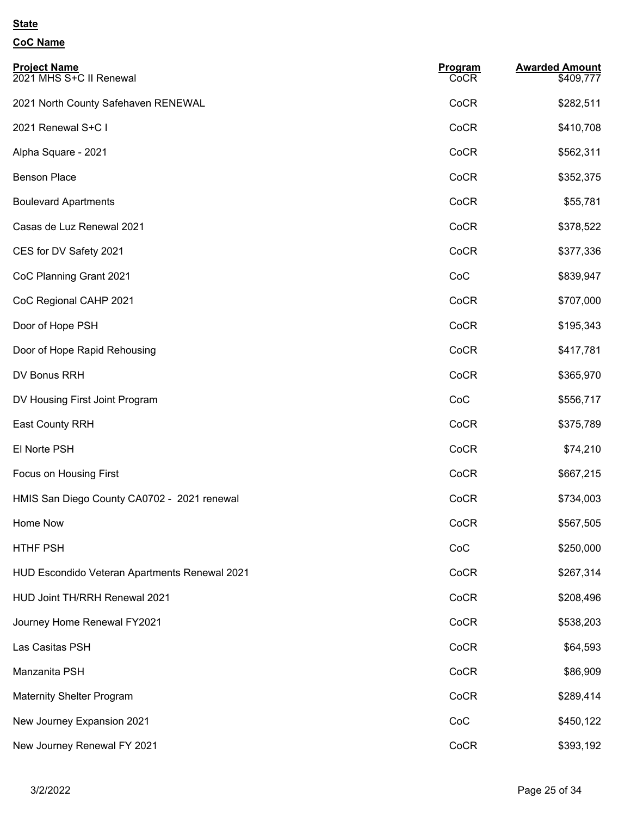| <b>Project Name</b><br>2021 MHS S+C II Renewal | Program<br>CoCR | <b>Awarded Amount</b><br>\$409,777 |
|------------------------------------------------|-----------------|------------------------------------|
| 2021 North County Safehaven RENEWAL            | CoCR            | \$282,511                          |
| 2021 Renewal S+C I                             | CoCR            | \$410,708                          |
| Alpha Square - 2021                            | CoCR            | \$562,311                          |
| <b>Benson Place</b>                            | CoCR            | \$352,375                          |
| <b>Boulevard Apartments</b>                    | CoCR            | \$55,781                           |
| Casas de Luz Renewal 2021                      | CoCR            | \$378,522                          |
| CES for DV Safety 2021                         | CoCR            | \$377,336                          |
| CoC Planning Grant 2021                        | CoC             | \$839,947                          |
| CoC Regional CAHP 2021                         | CoCR            | \$707,000                          |
| Door of Hope PSH                               | CoCR            | \$195,343                          |
| Door of Hope Rapid Rehousing                   | CoCR            | \$417,781                          |
| DV Bonus RRH                                   | CoCR            | \$365,970                          |
| DV Housing First Joint Program                 | CoC             | \$556,717                          |
| <b>East County RRH</b>                         | CoCR            | \$375,789                          |
| El Norte PSH                                   | CoCR            | \$74,210                           |
| Focus on Housing First                         | CoCR            | \$667,215                          |
| HMIS San Diego County CA0702 - 2021 renewal    | CoCR            | \$734,003                          |
| Home Now                                       | CoCR            | \$567,505                          |
| HTHF PSH                                       | CoC             | \$250,000                          |
| HUD Escondido Veteran Apartments Renewal 2021  | CoCR            | \$267,314                          |
| HUD Joint TH/RRH Renewal 2021                  | CoCR            | \$208,496                          |
| Journey Home Renewal FY2021                    | CoCR            | \$538,203                          |
| Las Casitas PSH                                | CoCR            | \$64,593                           |
| Manzanita PSH                                  | CoCR            | \$86,909                           |
| <b>Maternity Shelter Program</b>               | CoCR            | \$289,414                          |
| New Journey Expansion 2021                     | CoC             | \$450,122                          |
| New Journey Renewal FY 2021                    | CoCR            | \$393,192                          |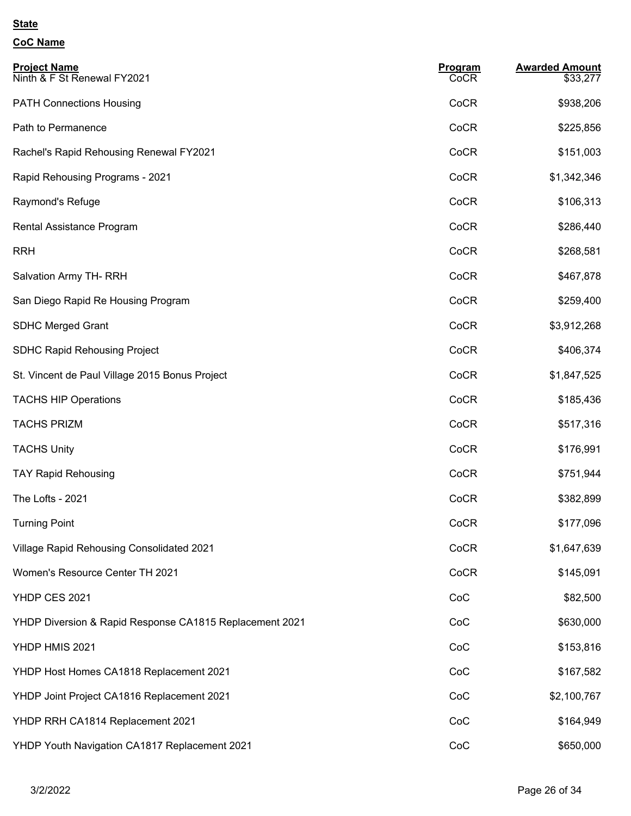| <b>Project Name</b><br>Ninth & F St Renewal FY2021      | <b>Program</b><br>CoCR | <b>Awarded Amount</b><br>\$33,277 |
|---------------------------------------------------------|------------------------|-----------------------------------|
| <b>PATH Connections Housing</b>                         | CoCR                   | \$938,206                         |
| Path to Permanence                                      | CoCR                   | \$225,856                         |
| Rachel's Rapid Rehousing Renewal FY2021                 | CoCR                   | \$151,003                         |
| Rapid Rehousing Programs - 2021                         | CoCR                   | \$1,342,346                       |
| Raymond's Refuge                                        | CoCR                   | \$106,313                         |
| Rental Assistance Program                               | CoCR                   | \$286,440                         |
| <b>RRH</b>                                              | CoCR                   | \$268,581                         |
| Salvation Army TH-RRH                                   | CoCR                   | \$467,878                         |
| San Diego Rapid Re Housing Program                      | CoCR                   | \$259,400                         |
| <b>SDHC Merged Grant</b>                                | CoCR                   | \$3,912,268                       |
| <b>SDHC Rapid Rehousing Project</b>                     | CoCR                   | \$406,374                         |
| St. Vincent de Paul Village 2015 Bonus Project          | CoCR                   | \$1,847,525                       |
| <b>TACHS HIP Operations</b>                             | CoCR                   | \$185,436                         |
| <b>TACHS PRIZM</b>                                      | CoCR                   | \$517,316                         |
| <b>TACHS Unity</b>                                      | CoCR                   | \$176,991                         |
| <b>TAY Rapid Rehousing</b>                              | CoCR                   | \$751,944                         |
| The Lofts - 2021                                        | CoCR                   | \$382,899                         |
| <b>Turning Point</b>                                    | CoCR                   | \$177,096                         |
| Village Rapid Rehousing Consolidated 2021               | CoCR                   | \$1,647,639                       |
| Women's Resource Center TH 2021                         | CoCR                   | \$145,091                         |
| YHDP CES 2021                                           | CoC                    | \$82,500                          |
| YHDP Diversion & Rapid Response CA1815 Replacement 2021 | CoC                    | \$630,000                         |
| YHDP HMIS 2021                                          | CoC                    | \$153,816                         |
| YHDP Host Homes CA1818 Replacement 2021                 | CoC                    | \$167,582                         |
| YHDP Joint Project CA1816 Replacement 2021              | CoC                    | \$2,100,767                       |
| YHDP RRH CA1814 Replacement 2021                        | CoC                    | \$164,949                         |
| YHDP Youth Navigation CA1817 Replacement 2021           | CoC                    | \$650,000                         |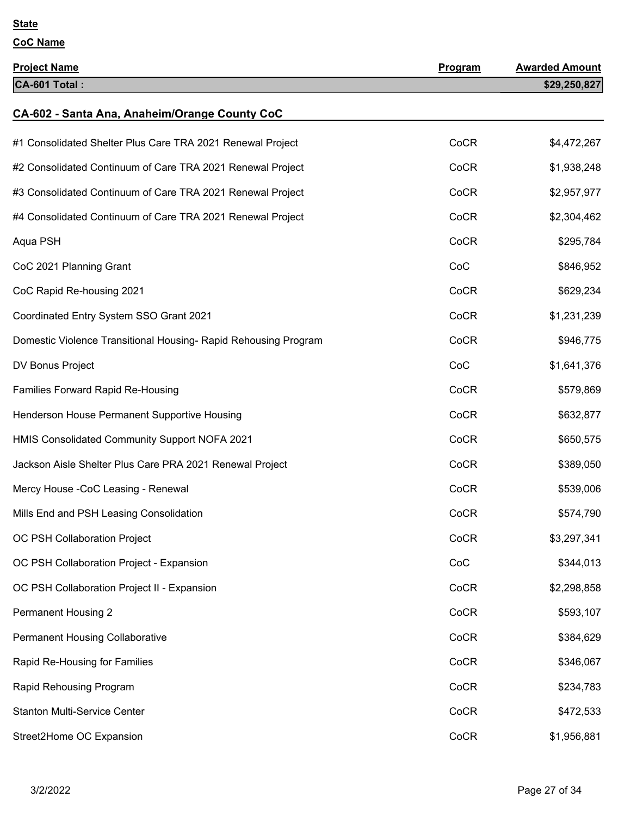| <b>Project Name</b>                                             | <b>Program</b> | <b>Awarded Amount</b> |
|-----------------------------------------------------------------|----------------|-----------------------|
| CA-601 Total:                                                   |                | \$29,250,827          |
| CA-602 - Santa Ana, Anaheim/Orange County CoC                   |                |                       |
| #1 Consolidated Shelter Plus Care TRA 2021 Renewal Project      | CoCR           | \$4,472,267           |
| #2 Consolidated Continuum of Care TRA 2021 Renewal Project      | CoCR           | \$1,938,248           |
| #3 Consolidated Continuum of Care TRA 2021 Renewal Project      | CoCR           | \$2,957,977           |
| #4 Consolidated Continuum of Care TRA 2021 Renewal Project      | CoCR           | \$2,304,462           |
| Aqua PSH                                                        | CoCR           | \$295,784             |
| CoC 2021 Planning Grant                                         | CoC            | \$846,952             |
| CoC Rapid Re-housing 2021                                       | CoCR           | \$629,234             |
| Coordinated Entry System SSO Grant 2021                         | CoCR           | \$1,231,239           |
| Domestic Violence Transitional Housing- Rapid Rehousing Program | CoCR           | \$946,775             |
| DV Bonus Project                                                | CoC            | \$1,641,376           |
| Families Forward Rapid Re-Housing                               | CoCR           | \$579,869             |
| Henderson House Permanent Supportive Housing                    | CoCR           | \$632,877             |
| HMIS Consolidated Community Support NOFA 2021                   | CoCR           | \$650,575             |
| Jackson Aisle Shelter Plus Care PRA 2021 Renewal Project        | CoCR           | \$389,050             |
| Mercy House - CoC Leasing - Renewal                             | CoCR           | \$539,006             |
| Mills End and PSH Leasing Consolidation                         | CoCR           | \$574,790             |
| OC PSH Collaboration Project                                    | CoCR           | \$3,297,341           |
| OC PSH Collaboration Project - Expansion                        | CoC            | \$344,013             |
| OC PSH Collaboration Project II - Expansion                     | CoCR           | \$2,298,858           |
| <b>Permanent Housing 2</b>                                      | CoCR           | \$593,107             |
| <b>Permanent Housing Collaborative</b>                          | CoCR           | \$384,629             |
| Rapid Re-Housing for Families                                   | CoCR           | \$346,067             |
| Rapid Rehousing Program                                         | CoCR           | \$234,783             |
| <b>Stanton Multi-Service Center</b>                             | CoCR           | \$472,533             |
| Street2Home OC Expansion                                        | CoCR           | \$1,956,881           |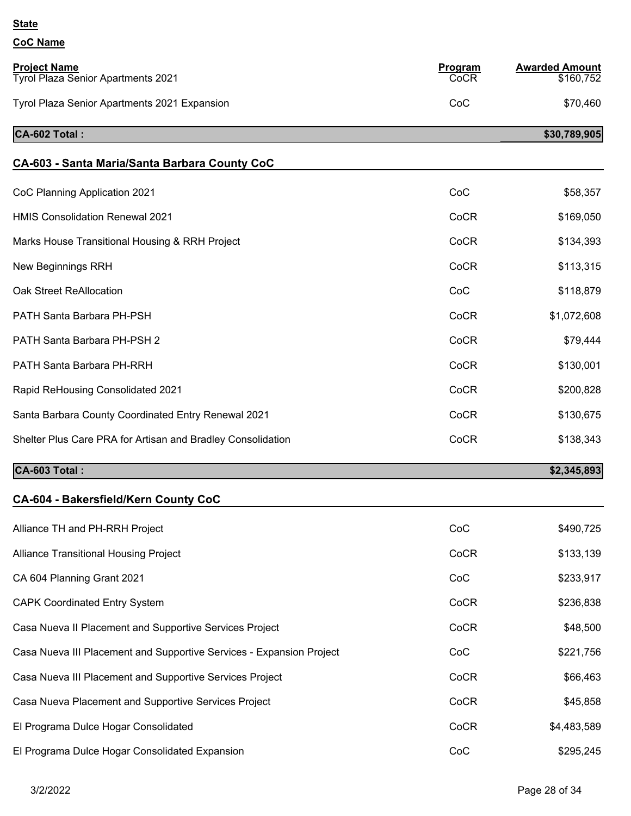| <b>Project Name</b><br><b>Tyrol Plaza Senior Apartments 2021</b>     | <b>Program</b><br>CoCR | <b>Awarded Amount</b><br>\$160,752 |
|----------------------------------------------------------------------|------------------------|------------------------------------|
| Tyrol Plaza Senior Apartments 2021 Expansion                         | CoC                    | \$70,460                           |
|                                                                      |                        |                                    |
| CA-602 Total:                                                        |                        | \$30,789,905                       |
| CA-603 - Santa Maria/Santa Barbara County CoC                        |                        |                                    |
| CoC Planning Application 2021                                        | CoC                    | \$58,357                           |
| <b>HMIS Consolidation Renewal 2021</b>                               | CoCR                   | \$169,050                          |
| Marks House Transitional Housing & RRH Project                       | CoCR                   | \$134,393                          |
| <b>New Beginnings RRH</b>                                            | CoCR                   | \$113,315                          |
| Oak Street ReAllocation                                              | CoC                    | \$118,879                          |
| PATH Santa Barbara PH-PSH                                            | CoCR                   | \$1,072,608                        |
| PATH Santa Barbara PH-PSH 2                                          | CoCR                   | \$79,444                           |
| PATH Santa Barbara PH-RRH                                            | CoCR                   | \$130,001                          |
| Rapid ReHousing Consolidated 2021                                    | CoCR                   | \$200,828                          |
| Santa Barbara County Coordinated Entry Renewal 2021                  | CoCR                   | \$130,675                          |
| Shelter Plus Care PRA for Artisan and Bradley Consolidation          | CoCR                   | \$138,343                          |
| CA-603 Total:                                                        |                        | \$2,345,893                        |
| CA-604 - Bakersfield/Kern County CoC                                 |                        |                                    |
| Alliance TH and PH-RRH Project                                       | CoC                    | \$490,725                          |
| Alliance Transitional Housing Project                                | CoCR                   | \$133,139                          |
| CA 604 Planning Grant 2021                                           | CoC                    | \$233,917                          |
| <b>CAPK Coordinated Entry System</b>                                 | CoCR                   | \$236,838                          |
| Casa Nueva II Placement and Supportive Services Project              | CoCR                   | \$48,500                           |
| Casa Nueva III Placement and Supportive Services - Expansion Project | CoC                    | \$221,756                          |
| Casa Nueva III Placement and Supportive Services Project             | CoCR                   | \$66,463                           |
| Casa Nueva Placement and Supportive Services Project                 | CoCR                   | \$45,858                           |
| El Programa Dulce Hogar Consolidated                                 | CoCR                   | \$4,483,589                        |
| El Programa Dulce Hogar Consolidated Expansion                       | CoC                    | \$295,245                          |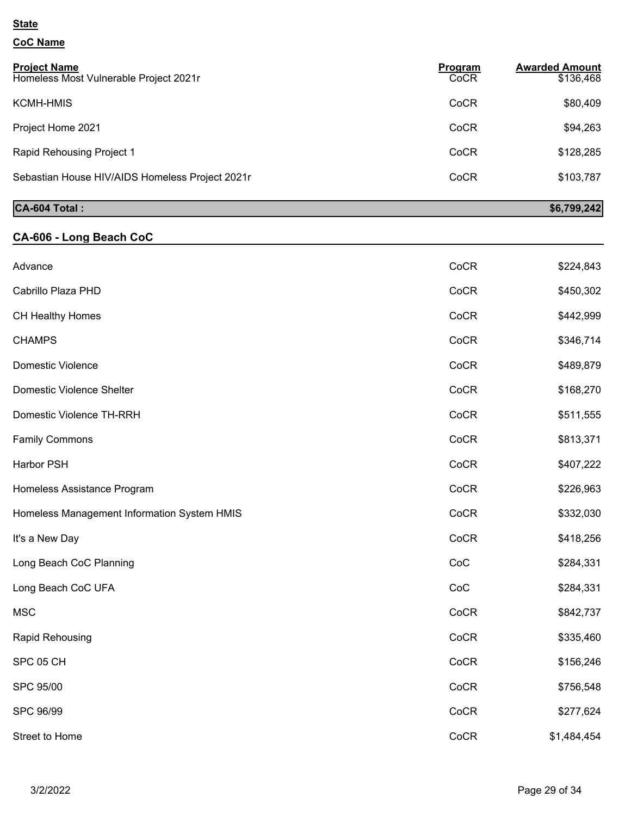# **CoC Name**

| <b>Project Name</b><br>Homeless Most Vulnerable Project 2021r | Program<br>CoCR | <b>Awarded Amount</b><br>\$136,468 |
|---------------------------------------------------------------|-----------------|------------------------------------|
| <b>KCMH-HMIS</b>                                              | CoCR            | \$80,409                           |
| Project Home 2021                                             | CoCR            | \$94,263                           |
| Rapid Rehousing Project 1                                     | CoCR            | \$128,285                          |
| Sebastian House HIV/AIDS Homeless Project 2021r               | CoCR            | \$103,787                          |

# **CA-604 Total :** \$6,799,242

### **CA-606 - Long Beach CoC**

| Advance                                     | CoCR | \$224,843   |
|---------------------------------------------|------|-------------|
| Cabrillo Plaza PHD                          | CoCR | \$450,302   |
| CH Healthy Homes                            | CoCR | \$442,999   |
| <b>CHAMPS</b>                               | CoCR | \$346,714   |
| Domestic Violence                           | CoCR | \$489,879   |
| Domestic Violence Shelter                   | CoCR | \$168,270   |
| Domestic Violence TH-RRH                    | CoCR | \$511,555   |
| <b>Family Commons</b>                       | CoCR | \$813,371   |
| <b>Harbor PSH</b>                           | CoCR | \$407,222   |
| Homeless Assistance Program                 | CoCR | \$226,963   |
| Homeless Management Information System HMIS | CoCR | \$332,030   |
| It's a New Day                              | CoCR | \$418,256   |
| Long Beach CoC Planning                     | CoC  | \$284,331   |
| Long Beach CoC UFA                          | CoC  | \$284,331   |
| <b>MSC</b>                                  | CoCR | \$842,737   |
| Rapid Rehousing                             | CoCR | \$335,460   |
| SPC 05 CH                                   | CoCR | \$156,246   |
| <b>SPC 95/00</b>                            | CoCR | \$756,548   |
| SPC 96/99                                   | CoCR | \$277,624   |
| Street to Home                              | CoCR | \$1,484,454 |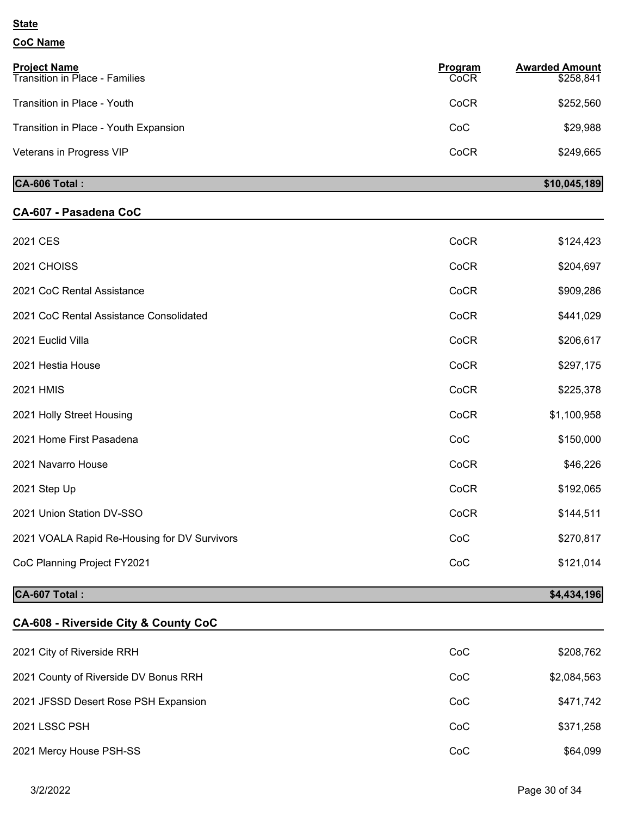### **CoC Name**

| <b>Project Name</b><br><b>Transition in Place - Families</b> | Program<br>CoCR | <b>Awarded Amount</b><br>\$258,841 |
|--------------------------------------------------------------|-----------------|------------------------------------|
| Transition in Place - Youth                                  | CoCR            | \$252,560                          |
| Transition in Place - Youth Expansion                        | CoC             | \$29,988                           |
| Veterans in Progress VIP                                     | CoCR            | \$249,665                          |
| CA-606 Total:                                                |                 | \$10,045,189                       |

### **CA-607 - Pasadena CoC**

| 2021 CES                                     | CoCR | \$124,423   |
|----------------------------------------------|------|-------------|
| 2021 CHOISS                                  | CoCR | \$204,697   |
| 2021 CoC Rental Assistance                   | CoCR | \$909,286   |
| 2021 CoC Rental Assistance Consolidated      | CoCR | \$441,029   |
| 2021 Euclid Villa                            | CoCR | \$206,617   |
| 2021 Hestia House                            | CoCR | \$297,175   |
| <b>2021 HMIS</b>                             | CoCR | \$225,378   |
| 2021 Holly Street Housing                    | CoCR | \$1,100,958 |
| 2021 Home First Pasadena                     | CoC  | \$150,000   |
| 2021 Navarro House                           | CoCR | \$46,226    |
| 2021 Step Up                                 | CoCR | \$192,065   |
| 2021 Union Station DV-SSO                    | CoCR | \$144,511   |
| 2021 VOALA Rapid Re-Housing for DV Survivors | CoC  | \$270,817   |
| CoC Planning Project FY2021                  | CoC  | \$121,014   |

## **CA-607 Total :** \$4,434,196

### **CA-608 - Riverside City & County CoC**

| 2021 City of Riverside RRH            | CoC | \$208,762   |
|---------------------------------------|-----|-------------|
| 2021 County of Riverside DV Bonus RRH | CoC | \$2,084,563 |
| 2021 JFSSD Desert Rose PSH Expansion  | CoC | \$471,742   |
| 2021 LSSC PSH                         | CoC | \$371,258   |
| 2021 Mercy House PSH-SS               | CoC | \$64,099    |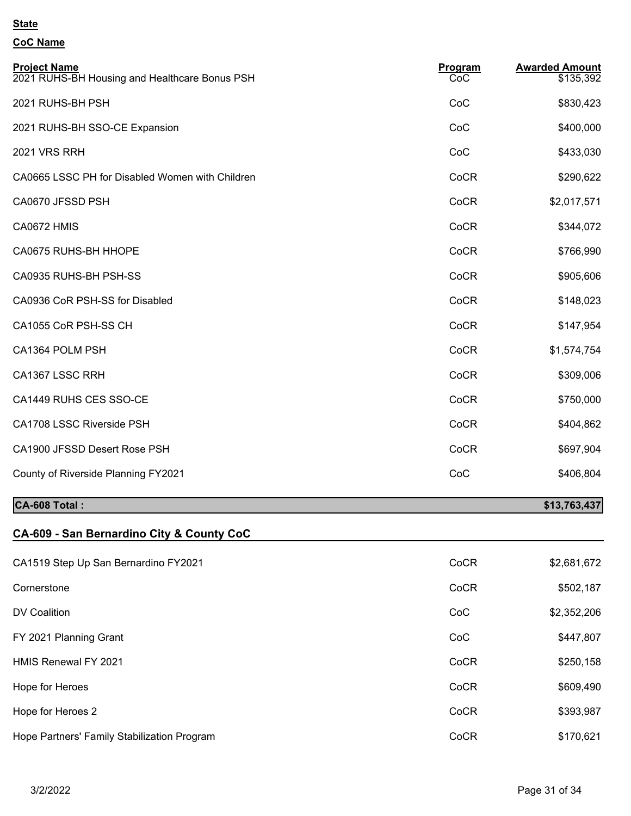### **CoC Name**

| <b>Project Name</b><br>2021 RUHS-BH Housing and Healthcare Bonus PSH | Program<br>CoC | <b>Awarded Amount</b><br>\$135,392 |
|----------------------------------------------------------------------|----------------|------------------------------------|
| 2021 RUHS-BH PSH                                                     | CoC            | \$830,423                          |
| 2021 RUHS-BH SSO-CE Expansion                                        | CoC            | \$400,000                          |
| <b>2021 VRS RRH</b>                                                  | CoC            | \$433,030                          |
| CA0665 LSSC PH for Disabled Women with Children                      | CoCR           | \$290,622                          |
| CA0670 JFSSD PSH                                                     | CoCR           | \$2,017,571                        |
| CA0672 HMIS                                                          | CoCR           | \$344,072                          |
| CA0675 RUHS-BH HHOPE                                                 | CoCR           | \$766,990                          |
| CA0935 RUHS-BH PSH-SS                                                | CoCR           | \$905,606                          |
| CA0936 CoR PSH-SS for Disabled                                       | CoCR           | \$148,023                          |
| CA1055 CoR PSH-SS CH                                                 | CoCR           | \$147,954                          |
| CA1364 POLM PSH                                                      | CoCR           | \$1,574,754                        |
| CA1367 LSSC RRH                                                      | CoCR           | \$309,006                          |
| CA1449 RUHS CES SSO-CE                                               | CoCR           | \$750,000                          |
| CA1708 LSSC Riverside PSH                                            | CoCR           | \$404,862                          |
| CA1900 JFSSD Desert Rose PSH                                         | CoCR           | \$697,904                          |
| County of Riverside Planning FY2021                                  | CoC            | \$406,804                          |
|                                                                      |                |                                    |

## **CA-608 Total : \$13,763,437**

# **CA-609 - San Bernardino City & County CoC**

| CA1519 Step Up San Bernardino FY2021        | CoCR | \$2,681,672 |
|---------------------------------------------|------|-------------|
| Cornerstone                                 | CoCR | \$502,187   |
| DV Coalition                                | CoC  | \$2,352,206 |
| FY 2021 Planning Grant                      | CoC  | \$447,807   |
| <b>HMIS Renewal FY 2021</b>                 | CoCR | \$250,158   |
| Hope for Heroes                             | CoCR | \$609,490   |
| Hope for Heroes 2                           | CoCR | \$393,987   |
| Hope Partners' Family Stabilization Program | CoCR | \$170,621   |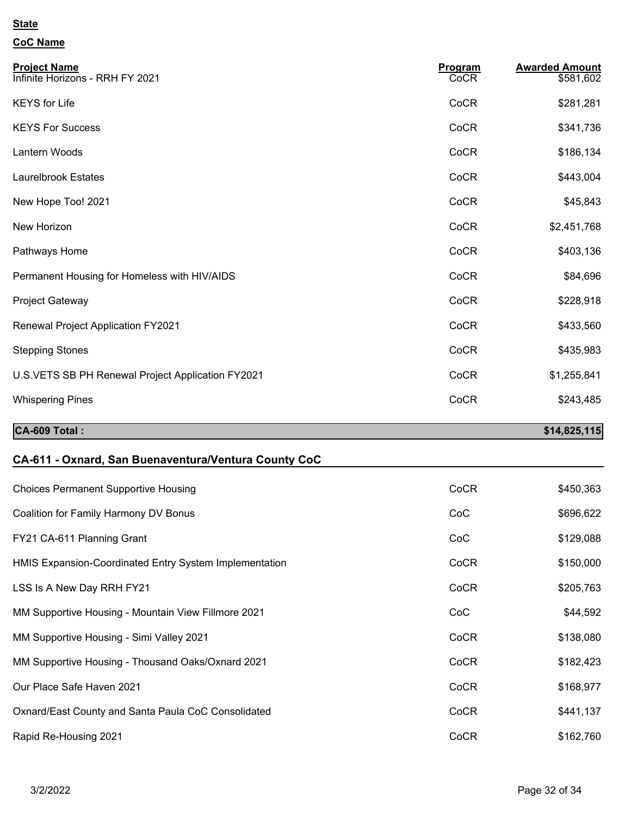### **CoC Name**

| <b>Project Name</b><br>Infinite Horizons - RRH FY 2021 | Program<br>CoCR | <b>Awarded Amount</b><br>\$581,602 |
|--------------------------------------------------------|-----------------|------------------------------------|
| <b>KEYS</b> for Life                                   | CoCR            | \$281,281                          |
| <b>KEYS For Success</b>                                | CoCR            | \$341,736                          |
| Lantern Woods                                          | CoCR            | \$186,134                          |
| <b>Laurelbrook Estates</b>                             | CoCR            | \$443,004                          |
| New Hope Too! 2021                                     | CoCR            | \$45,843                           |
| New Horizon                                            | CoCR            | \$2,451,768                        |
| Pathways Home                                          | CoCR            | \$403,136                          |
| Permanent Housing for Homeless with HIV/AIDS           | CoCR            | \$84,696                           |
| Project Gateway                                        | CoCR            | \$228,918                          |
| <b>Renewal Project Application FY2021</b>              | CoCR            | \$433,560                          |
| <b>Stepping Stones</b>                                 | CoCR            | \$435,983                          |
| U.S.VETS SB PH Renewal Project Application FY2021      | CoCR            | \$1,255,841                        |
| <b>Whispering Pines</b>                                | CoCR            | \$243,485                          |
| CA-609 Total:                                          |                 | \$14,825,115                       |

### **CA-611 - Oxnard, San Buenaventura/Ventura County CoC**

| <b>Choices Permanent Supportive Housing</b>            | CoCR | \$450,363 |
|--------------------------------------------------------|------|-----------|
| Coalition for Family Harmony DV Bonus                  | CoC  | \$696,622 |
| FY21 CA-611 Planning Grant                             | CoC  | \$129,088 |
| HMIS Expansion-Coordinated Entry System Implementation | CoCR | \$150,000 |
| LSS Is A New Day RRH FY21                              | CoCR | \$205,763 |
| MM Supportive Housing - Mountain View Fillmore 2021    | CoC  | \$44,592  |
| MM Supportive Housing - Simi Valley 2021               | CoCR | \$138,080 |
| MM Supportive Housing - Thousand Oaks/Oxnard 2021      | CoCR | \$182,423 |
| Our Place Safe Haven 2021                              | CoCR | \$168,977 |
| Oxnard/East County and Santa Paula CoC Consolidated    | CoCR | \$441,137 |
| Rapid Re-Housing 2021                                  | CoCR | \$162,760 |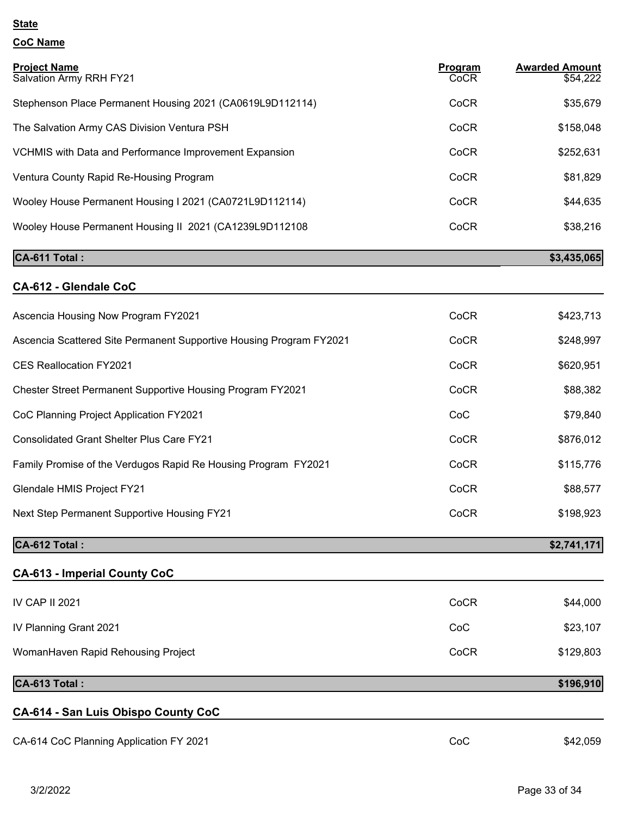### **CoC Name**

| <b>Project Name</b><br>Salvation Army RRH FY21                      | <b>Program</b><br>CoCR | <b>Awarded Amount</b><br>\$54,222 |
|---------------------------------------------------------------------|------------------------|-----------------------------------|
| Stephenson Place Permanent Housing 2021 (CA0619L9D112114)           | CoCR                   | \$35,679                          |
| The Salvation Army CAS Division Ventura PSH                         | CoCR                   | \$158,048                         |
| <b>VCHMIS with Data and Performance Improvement Expansion</b>       | CoCR                   | \$252,631                         |
| Ventura County Rapid Re-Housing Program                             | CoCR                   | \$81,829                          |
| Wooley House Permanent Housing I 2021 (CA0721L9D112114)             | CoCR                   | \$44,635                          |
| Wooley House Permanent Housing II 2021 (CA1239L9D112108             | CoCR                   | \$38,216                          |
| CA-611 Total:                                                       |                        | \$3,435,065                       |
| CA-612 - Glendale CoC                                               |                        |                                   |
| Ascencia Housing Now Program FY2021                                 | CoCR                   | \$423,713                         |
| Ascencia Scattered Site Permanent Supportive Housing Program FY2021 | CoCR                   | \$248,997                         |
| <b>CES Reallocation FY2021</b>                                      | CoCR                   | \$620,951                         |
| <b>Chester Street Permanent Supportive Housing Program FY2021</b>   | CoCR                   | \$88,382                          |
| CoC Planning Project Application FY2021                             | CoC                    | \$79,840                          |
| <b>Consolidated Grant Shelter Plus Care FY21</b>                    | CoCR                   | \$876,012                         |
| Family Promise of the Verdugos Rapid Re Housing Program FY2021      | CoCR                   | \$115,776                         |
| Glendale HMIS Project FY21                                          | CoCR                   | \$88,577                          |
| <b>Next Step Permanent Supportive Housing FY21</b>                  | CoCR                   | \$198,923                         |
| CA-612 Total:                                                       |                        | \$2,741,171                       |
| <b>CA-613 - Imperial County CoC</b>                                 |                        |                                   |
| IV CAP II 2021                                                      | CoCR                   | \$44,000                          |
| IV Planning Grant 2021                                              | CoC                    | \$23,107                          |
| WomanHaven Rapid Rehousing Project                                  | CoCR                   | \$129,803                         |
| CA-613 Total:                                                       |                        | \$196,910                         |
| CA-614 - San Luis Obispo County CoC                                 |                        |                                   |

CA-614 CoC Planning Application FY 2021 CA-614 CoC \$42,059